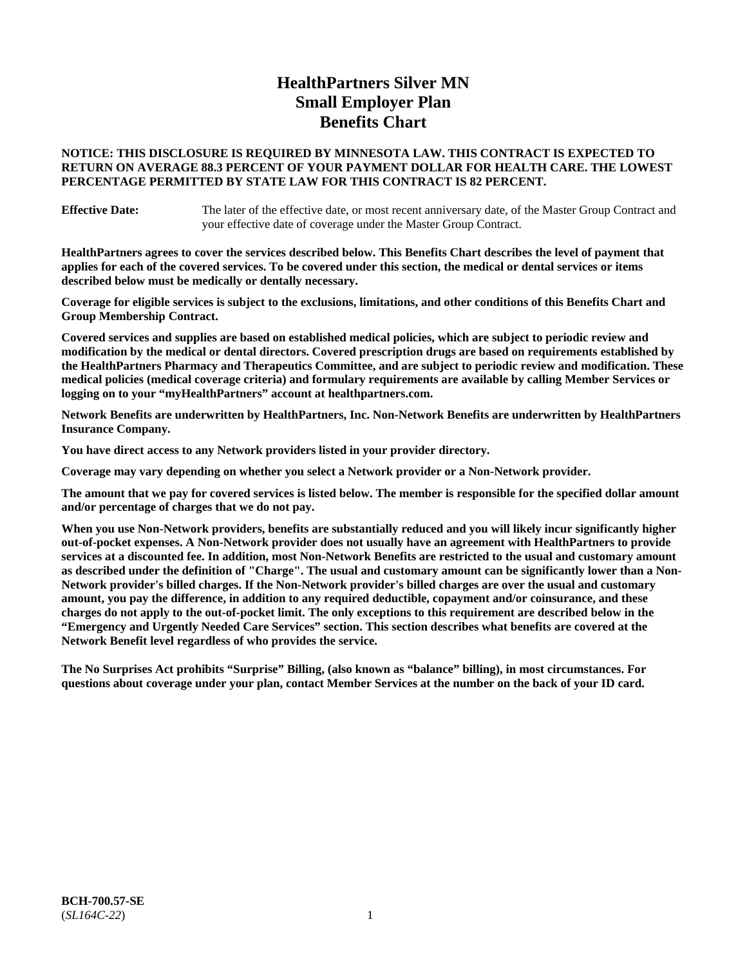# **HealthPartners Silver MN Small Employer Plan Benefits Chart**

# **NOTICE: THIS DISCLOSURE IS REQUIRED BY MINNESOTA LAW. THIS CONTRACT IS EXPECTED TO RETURN ON AVERAGE 88.3 PERCENT OF YOUR PAYMENT DOLLAR FOR HEALTH CARE. THE LOWEST PERCENTAGE PERMITTED BY STATE LAW FOR THIS CONTRACT IS 82 PERCENT.**

**Effective Date:** The later of the effective date, or most recent anniversary date, of the Master Group Contract and your effective date of coverage under the Master Group Contract.

**HealthPartners agrees to cover the services described below. This Benefits Chart describes the level of payment that applies for each of the covered services. To be covered under this section, the medical or dental services or items described below must be medically or dentally necessary.**

**Coverage for eligible services is subject to the exclusions, limitations, and other conditions of this Benefits Chart and Group Membership Contract.**

**Covered services and supplies are based on established medical policies, which are subject to periodic review and modification by the medical or dental directors. Covered prescription drugs are based on requirements established by the HealthPartners Pharmacy and Therapeutics Committee, and are subject to periodic review and modification. These medical policies (medical coverage criteria) and formulary requirements are available by calling Member Services or logging on to your "myHealthPartners" account at [healthpartners.com.](https://www.healthpartners.com/hp/index.html)**

**Network Benefits are underwritten by HealthPartners, Inc. Non-Network Benefits are underwritten by HealthPartners Insurance Company.** 

**You have direct access to any Network providers listed in your provider directory.**

**Coverage may vary depending on whether you select a Network provider or a Non-Network provider.**

**The amount that we pay for covered services is listed below. The member is responsible for the specified dollar amount and/or percentage of charges that we do not pay.**

**When you use Non-Network providers, benefits are substantially reduced and you will likely incur significantly higher out-of-pocket expenses. A Non-Network provider does not usually have an agreement with HealthPartners to provide services at a discounted fee. In addition, most Non-Network Benefits are restricted to the usual and customary amount as described under the definition of "Charge". The usual and customary amount can be significantly lower than a Non-Network provider's billed charges. If the Non-Network provider's billed charges are over the usual and customary amount, you pay the difference, in addition to any required deductible, copayment and/or coinsurance, and these charges do not apply to the out-of-pocket limit. The only exceptions to this requirement are described below in the "Emergency and Urgently Needed Care Services" section. This section describes what benefits are covered at the Network Benefit level regardless of who provides the service.**

**The No Surprises Act prohibits "Surprise" Billing, (also known as "balance" billing), in most circumstances. For questions about coverage under your plan, contact Member Services at the number on the back of your ID card.**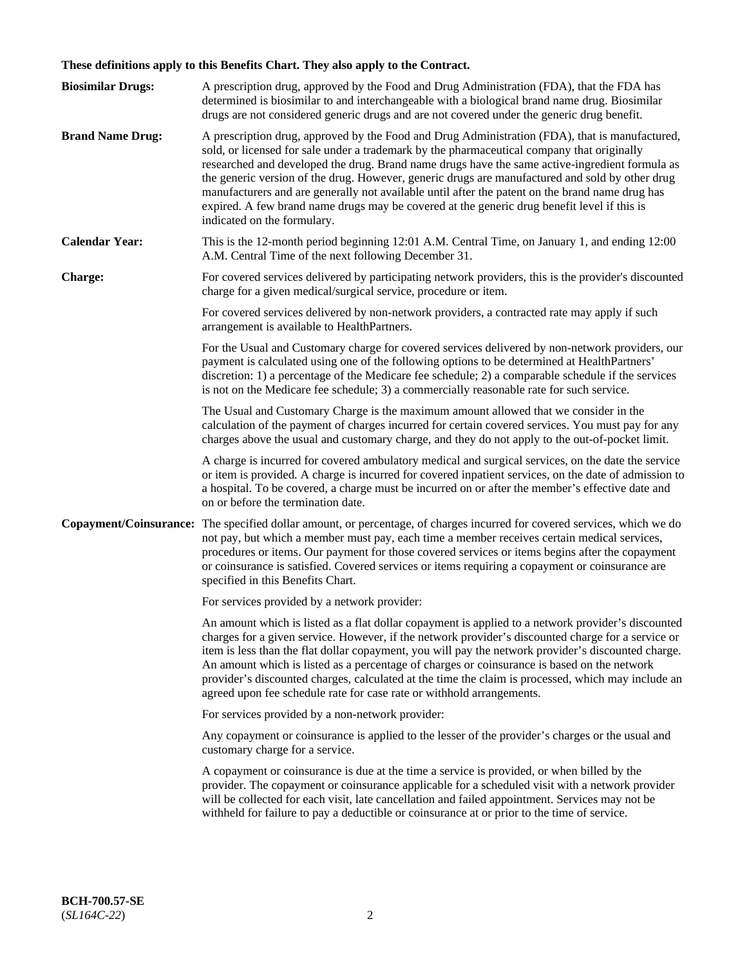# **These definitions apply to this Benefits Chart. They also apply to the Contract.**

| <b>Biosimilar Drugs:</b> | A prescription drug, approved by the Food and Drug Administration (FDA), that the FDA has<br>determined is biosimilar to and interchangeable with a biological brand name drug. Biosimilar<br>drugs are not considered generic drugs and are not covered under the generic drug benefit.                                                                                                                                                                                                                                                                                                                                           |
|--------------------------|------------------------------------------------------------------------------------------------------------------------------------------------------------------------------------------------------------------------------------------------------------------------------------------------------------------------------------------------------------------------------------------------------------------------------------------------------------------------------------------------------------------------------------------------------------------------------------------------------------------------------------|
| <b>Brand Name Drug:</b>  | A prescription drug, approved by the Food and Drug Administration (FDA), that is manufactured,<br>sold, or licensed for sale under a trademark by the pharmaceutical company that originally<br>researched and developed the drug. Brand name drugs have the same active-ingredient formula as<br>the generic version of the drug. However, generic drugs are manufactured and sold by other drug<br>manufacturers and are generally not available until after the patent on the brand name drug has<br>expired. A few brand name drugs may be covered at the generic drug benefit level if this is<br>indicated on the formulary. |
| <b>Calendar Year:</b>    | This is the 12-month period beginning 12:01 A.M. Central Time, on January 1, and ending 12:00<br>A.M. Central Time of the next following December 31.                                                                                                                                                                                                                                                                                                                                                                                                                                                                              |
| <b>Charge:</b>           | For covered services delivered by participating network providers, this is the provider's discounted<br>charge for a given medical/surgical service, procedure or item.                                                                                                                                                                                                                                                                                                                                                                                                                                                            |
|                          | For covered services delivered by non-network providers, a contracted rate may apply if such<br>arrangement is available to HealthPartners.                                                                                                                                                                                                                                                                                                                                                                                                                                                                                        |
|                          | For the Usual and Customary charge for covered services delivered by non-network providers, our<br>payment is calculated using one of the following options to be determined at HealthPartners'<br>discretion: 1) a percentage of the Medicare fee schedule; 2) a comparable schedule if the services<br>is not on the Medicare fee schedule; 3) a commercially reasonable rate for such service.                                                                                                                                                                                                                                  |
|                          | The Usual and Customary Charge is the maximum amount allowed that we consider in the<br>calculation of the payment of charges incurred for certain covered services. You must pay for any<br>charges above the usual and customary charge, and they do not apply to the out-of-pocket limit.                                                                                                                                                                                                                                                                                                                                       |
|                          | A charge is incurred for covered ambulatory medical and surgical services, on the date the service<br>or item is provided. A charge is incurred for covered inpatient services, on the date of admission to<br>a hospital. To be covered, a charge must be incurred on or after the member's effective date and<br>on or before the termination date.                                                                                                                                                                                                                                                                              |
| Copayment/Coinsurance:   | The specified dollar amount, or percentage, of charges incurred for covered services, which we do<br>not pay, but which a member must pay, each time a member receives certain medical services,<br>procedures or items. Our payment for those covered services or items begins after the copayment<br>or coinsurance is satisfied. Covered services or items requiring a copayment or coinsurance are<br>specified in this Benefits Chart.                                                                                                                                                                                        |
|                          | For services provided by a network provider:                                                                                                                                                                                                                                                                                                                                                                                                                                                                                                                                                                                       |
|                          | An amount which is listed as a flat dollar copayment is applied to a network provider's discounted<br>charges for a given service. However, if the network provider's discounted charge for a service or<br>item is less than the flat dollar copayment, you will pay the network provider's discounted charge.<br>An amount which is listed as a percentage of charges or coinsurance is based on the network<br>provider's discounted charges, calculated at the time the claim is processed, which may include an<br>agreed upon fee schedule rate for case rate or withhold arrangements.                                      |
|                          | For services provided by a non-network provider:                                                                                                                                                                                                                                                                                                                                                                                                                                                                                                                                                                                   |
|                          | Any copayment or coinsurance is applied to the lesser of the provider's charges or the usual and<br>customary charge for a service.                                                                                                                                                                                                                                                                                                                                                                                                                                                                                                |
|                          | A copayment or coinsurance is due at the time a service is provided, or when billed by the<br>provider. The copayment or coinsurance applicable for a scheduled visit with a network provider<br>will be collected for each visit, late cancellation and failed appointment. Services may not be<br>withheld for failure to pay a deductible or coinsurance at or prior to the time of service.                                                                                                                                                                                                                                    |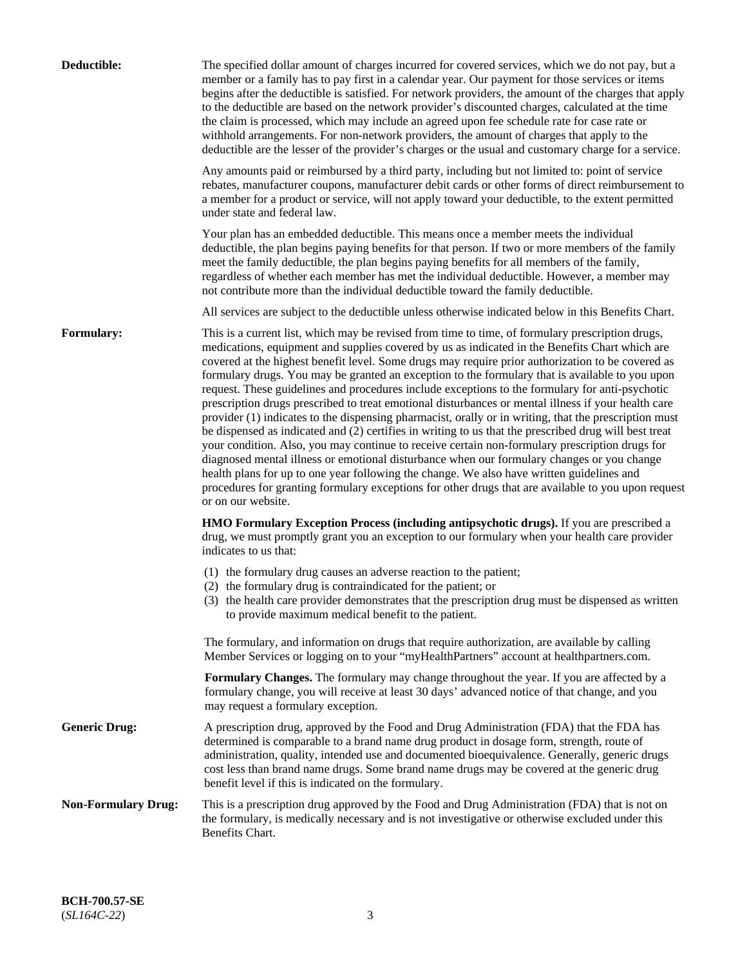| Deductible:                | The specified dollar amount of charges incurred for covered services, which we do not pay, but a<br>member or a family has to pay first in a calendar year. Our payment for those services or items<br>begins after the deductible is satisfied. For network providers, the amount of the charges that apply<br>to the deductible are based on the network provider's discounted charges, calculated at the time<br>the claim is processed, which may include an agreed upon fee schedule rate for case rate or<br>withhold arrangements. For non-network providers, the amount of charges that apply to the<br>deductible are the lesser of the provider's charges or the usual and customary charge for a service.                                                                                                                                                                                                                                                                                                                                                                                                                                                                                                                                             |
|----------------------------|------------------------------------------------------------------------------------------------------------------------------------------------------------------------------------------------------------------------------------------------------------------------------------------------------------------------------------------------------------------------------------------------------------------------------------------------------------------------------------------------------------------------------------------------------------------------------------------------------------------------------------------------------------------------------------------------------------------------------------------------------------------------------------------------------------------------------------------------------------------------------------------------------------------------------------------------------------------------------------------------------------------------------------------------------------------------------------------------------------------------------------------------------------------------------------------------------------------------------------------------------------------|
|                            | Any amounts paid or reimbursed by a third party, including but not limited to: point of service<br>rebates, manufacturer coupons, manufacturer debit cards or other forms of direct reimbursement to<br>a member for a product or service, will not apply toward your deductible, to the extent permitted<br>under state and federal law.                                                                                                                                                                                                                                                                                                                                                                                                                                                                                                                                                                                                                                                                                                                                                                                                                                                                                                                        |
|                            | Your plan has an embedded deductible. This means once a member meets the individual<br>deductible, the plan begins paying benefits for that person. If two or more members of the family<br>meet the family deductible, the plan begins paying benefits for all members of the family,<br>regardless of whether each member has met the individual deductible. However, a member may<br>not contribute more than the individual deductible toward the family deductible.                                                                                                                                                                                                                                                                                                                                                                                                                                                                                                                                                                                                                                                                                                                                                                                         |
|                            | All services are subject to the deductible unless otherwise indicated below in this Benefits Chart.                                                                                                                                                                                                                                                                                                                                                                                                                                                                                                                                                                                                                                                                                                                                                                                                                                                                                                                                                                                                                                                                                                                                                              |
| Formulary:                 | This is a current list, which may be revised from time to time, of formulary prescription drugs,<br>medications, equipment and supplies covered by us as indicated in the Benefits Chart which are<br>covered at the highest benefit level. Some drugs may require prior authorization to be covered as<br>formulary drugs. You may be granted an exception to the formulary that is available to you upon<br>request. These guidelines and procedures include exceptions to the formulary for anti-psychotic<br>prescription drugs prescribed to treat emotional disturbances or mental illness if your health care<br>provider (1) indicates to the dispensing pharmacist, orally or in writing, that the prescription must<br>be dispensed as indicated and (2) certifies in writing to us that the prescribed drug will best treat<br>your condition. Also, you may continue to receive certain non-formulary prescription drugs for<br>diagnosed mental illness or emotional disturbance when our formulary changes or you change<br>health plans for up to one year following the change. We also have written guidelines and<br>procedures for granting formulary exceptions for other drugs that are available to you upon request<br>or on our website. |
|                            | HMO Formulary Exception Process (including antipsychotic drugs). If you are prescribed a<br>drug, we must promptly grant you an exception to our formulary when your health care provider<br>indicates to us that:                                                                                                                                                                                                                                                                                                                                                                                                                                                                                                                                                                                                                                                                                                                                                                                                                                                                                                                                                                                                                                               |
|                            | (1) the formulary drug causes an adverse reaction to the patient;<br>(2) the formulary drug is contraindicated for the patient; or<br>(3) the health care provider demonstrates that the prescription drug must be dispensed as written<br>to provide maximum medical benefit to the patient.                                                                                                                                                                                                                                                                                                                                                                                                                                                                                                                                                                                                                                                                                                                                                                                                                                                                                                                                                                    |
|                            | The formulary, and information on drugs that require authorization, are available by calling<br>Member Services or logging on to your "myHealthPartners" account at healthpartners.com.                                                                                                                                                                                                                                                                                                                                                                                                                                                                                                                                                                                                                                                                                                                                                                                                                                                                                                                                                                                                                                                                          |
|                            | Formulary Changes. The formulary may change throughout the year. If you are affected by a<br>formulary change, you will receive at least 30 days' advanced notice of that change, and you<br>may request a formulary exception.                                                                                                                                                                                                                                                                                                                                                                                                                                                                                                                                                                                                                                                                                                                                                                                                                                                                                                                                                                                                                                  |
| <b>Generic Drug:</b>       | A prescription drug, approved by the Food and Drug Administration (FDA) that the FDA has<br>determined is comparable to a brand name drug product in dosage form, strength, route of<br>administration, quality, intended use and documented bioequivalence. Generally, generic drugs<br>cost less than brand name drugs. Some brand name drugs may be covered at the generic drug<br>benefit level if this is indicated on the formulary.                                                                                                                                                                                                                                                                                                                                                                                                                                                                                                                                                                                                                                                                                                                                                                                                                       |
| <b>Non-Formulary Drug:</b> | This is a prescription drug approved by the Food and Drug Administration (FDA) that is not on<br>the formulary, is medically necessary and is not investigative or otherwise excluded under this<br>Benefits Chart.                                                                                                                                                                                                                                                                                                                                                                                                                                                                                                                                                                                                                                                                                                                                                                                                                                                                                                                                                                                                                                              |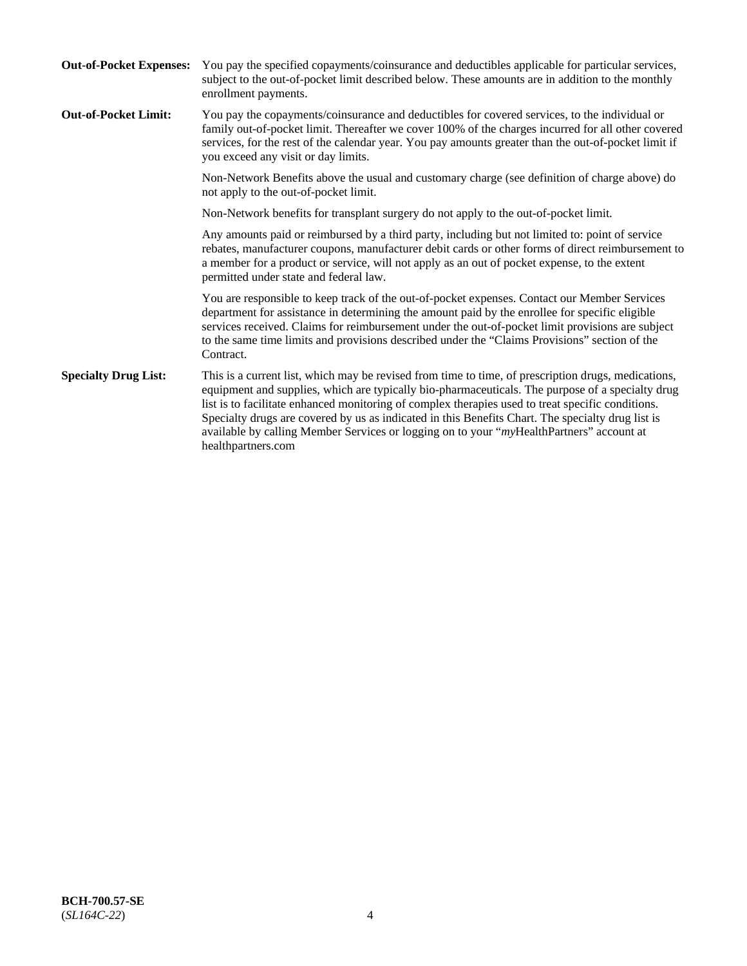| <b>Out-of-Pocket Expenses:</b> | You pay the specified copayments/coinsurance and deductibles applicable for particular services,<br>subject to the out-of-pocket limit described below. These amounts are in addition to the monthly<br>enrollment payments.                                                                                                                                                                                                                                                                                                        |
|--------------------------------|-------------------------------------------------------------------------------------------------------------------------------------------------------------------------------------------------------------------------------------------------------------------------------------------------------------------------------------------------------------------------------------------------------------------------------------------------------------------------------------------------------------------------------------|
| <b>Out-of-Pocket Limit:</b>    | You pay the copayments/coinsurance and deductibles for covered services, to the individual or<br>family out-of-pocket limit. Thereafter we cover 100% of the charges incurred for all other covered<br>services, for the rest of the calendar year. You pay amounts greater than the out-of-pocket limit if<br>you exceed any visit or day limits.                                                                                                                                                                                  |
|                                | Non-Network Benefits above the usual and customary charge (see definition of charge above) do<br>not apply to the out-of-pocket limit.                                                                                                                                                                                                                                                                                                                                                                                              |
|                                | Non-Network benefits for transplant surgery do not apply to the out-of-pocket limit.                                                                                                                                                                                                                                                                                                                                                                                                                                                |
|                                | Any amounts paid or reimbursed by a third party, including but not limited to: point of service<br>rebates, manufacturer coupons, manufacturer debit cards or other forms of direct reimbursement to<br>a member for a product or service, will not apply as an out of pocket expense, to the extent<br>permitted under state and federal law.                                                                                                                                                                                      |
|                                | You are responsible to keep track of the out-of-pocket expenses. Contact our Member Services<br>department for assistance in determining the amount paid by the enrollee for specific eligible<br>services received. Claims for reimbursement under the out-of-pocket limit provisions are subject<br>to the same time limits and provisions described under the "Claims Provisions" section of the<br>Contract.                                                                                                                    |
| <b>Specialty Drug List:</b>    | This is a current list, which may be revised from time to time, of prescription drugs, medications,<br>equipment and supplies, which are typically bio-pharmaceuticals. The purpose of a specialty drug<br>list is to facilitate enhanced monitoring of complex therapies used to treat specific conditions.<br>Specialty drugs are covered by us as indicated in this Benefits Chart. The specialty drug list is<br>available by calling Member Services or logging on to your "myHealthPartners" account at<br>healthpartners.com |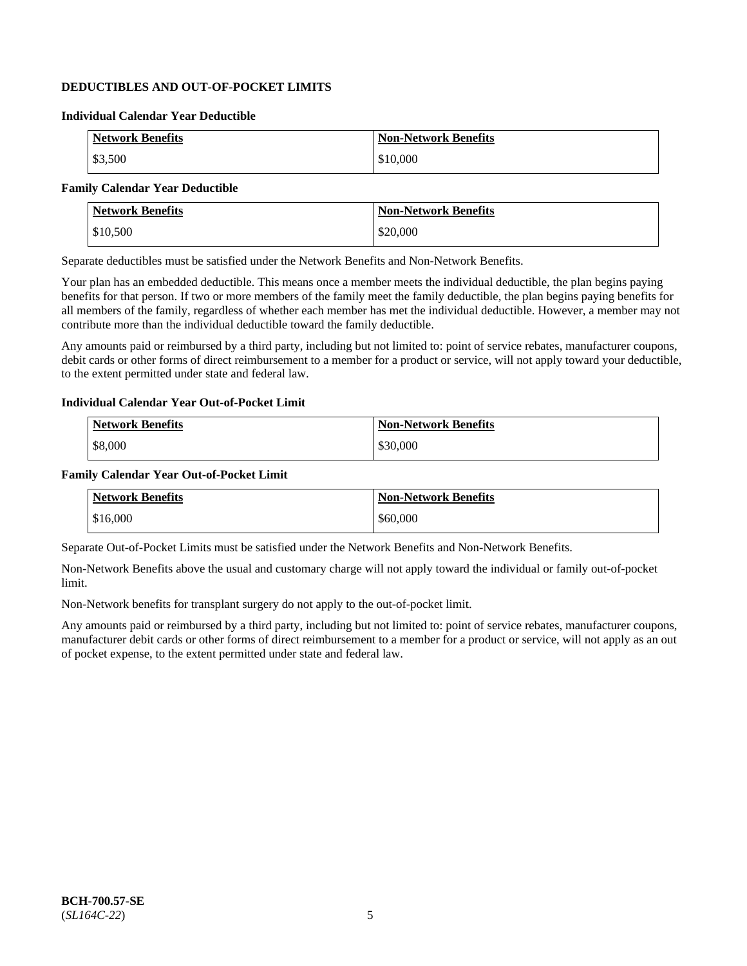# **DEDUCTIBLES AND OUT-OF-POCKET LIMITS**

# **Individual Calendar Year Deductible**

| <b>Network Benefits</b> | <b>Non-Network Benefits</b> |
|-------------------------|-----------------------------|
| \$3,500                 | \$10,000                    |

# **Family Calendar Year Deductible**

| <b>Network Benefits</b> | <b>Non-Network Benefits</b> |
|-------------------------|-----------------------------|
| \$10,500                | \$20,000                    |

Separate deductibles must be satisfied under the Network Benefits and Non-Network Benefits.

Your plan has an embedded deductible. This means once a member meets the individual deductible, the plan begins paying benefits for that person. If two or more members of the family meet the family deductible, the plan begins paying benefits for all members of the family, regardless of whether each member has met the individual deductible. However, a member may not contribute more than the individual deductible toward the family deductible.

Any amounts paid or reimbursed by a third party, including but not limited to: point of service rebates, manufacturer coupons, debit cards or other forms of direct reimbursement to a member for a product or service, will not apply toward your deductible, to the extent permitted under state and federal law.

#### **Individual Calendar Year Out-of-Pocket Limit**

| <b>Network Benefits</b> | <b>Non-Network Benefits</b> |
|-------------------------|-----------------------------|
| \$8,000                 | \$30,000                    |

### **Family Calendar Year Out-of-Pocket Limit**

| <b>Network Benefits</b> | Non-Network Benefits |
|-------------------------|----------------------|
| \$16,000                | \$60,000             |

Separate Out-of-Pocket Limits must be satisfied under the Network Benefits and Non-Network Benefits.

Non-Network Benefits above the usual and customary charge will not apply toward the individual or family out-of-pocket limit.

Non-Network benefits for transplant surgery do not apply to the out-of-pocket limit.

Any amounts paid or reimbursed by a third party, including but not limited to: point of service rebates, manufacturer coupons, manufacturer debit cards or other forms of direct reimbursement to a member for a product or service, will not apply as an out of pocket expense, to the extent permitted under state and federal law.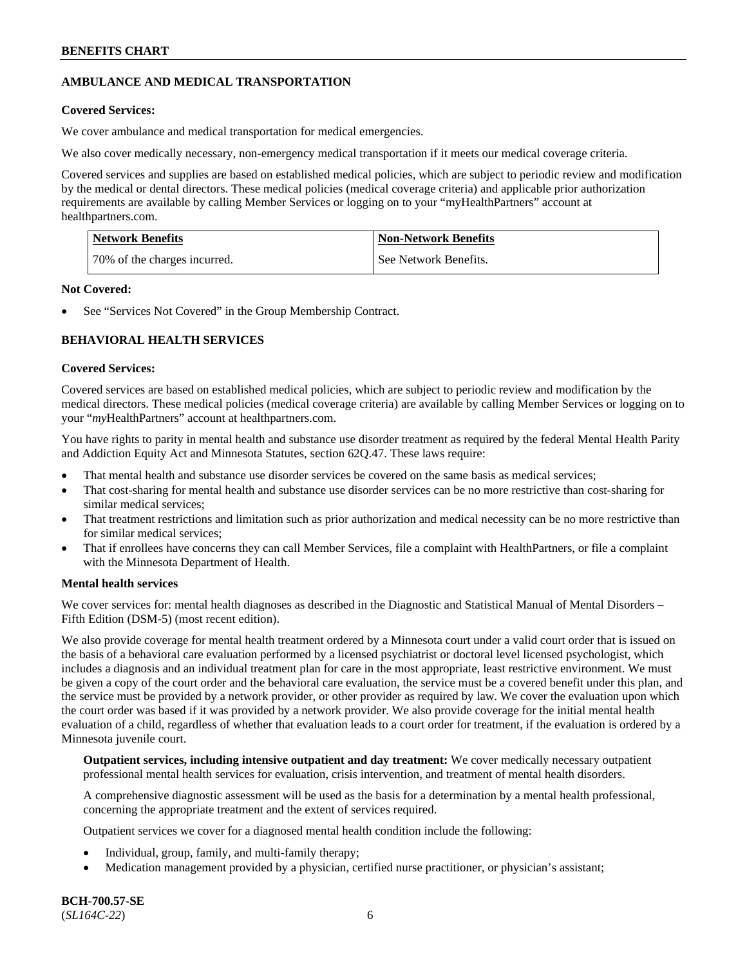# **AMBULANCE AND MEDICAL TRANSPORTATION**

# **Covered Services:**

We cover ambulance and medical transportation for medical emergencies.

We also cover medically necessary, non-emergency medical transportation if it meets our medical coverage criteria.

Covered services and supplies are based on established medical policies, which are subject to periodic review and modification by the medical or dental directors. These medical policies (medical coverage criteria) and applicable prior authorization requirements are available by calling Member Services or logging on to your "myHealthPartners" account at [healthpartners.com.](https://www.healthpartners.com/hp/index.html)

| Network Benefits             | <b>Non-Network Benefits</b> |
|------------------------------|-----------------------------|
| 70% of the charges incurred. | See Network Benefits.       |

# **Not Covered:**

See "Services Not Covered" in the Group Membership Contract.

# **BEHAVIORAL HEALTH SERVICES**

# **Covered Services:**

Covered services are based on established medical policies, which are subject to periodic review and modification by the medical directors. These medical policies (medical coverage criteria) are available by calling Member Services or logging on to your "*my*HealthPartners" account at [healthpartners.com.](http://www.healthpartners.com/)

You have rights to parity in mental health and substance use disorder treatment as required by the federal Mental Health Parity and Addiction Equity Act and Minnesota Statutes, section 62Q.47. These laws require:

- That mental health and substance use disorder services be covered on the same basis as medical services;
- That cost-sharing for mental health and substance use disorder services can be no more restrictive than cost-sharing for similar medical services;
- That treatment restrictions and limitation such as prior authorization and medical necessity can be no more restrictive than for similar medical services;
- That if enrollees have concerns they can call Member Services, file a complaint with HealthPartners, or file a complaint with the Minnesota Department of Health.

# **Mental health services**

We cover services for: mental health diagnoses as described in the Diagnostic and Statistical Manual of Mental Disorders – Fifth Edition (DSM-5) (most recent edition).

We also provide coverage for mental health treatment ordered by a Minnesota court under a valid court order that is issued on the basis of a behavioral care evaluation performed by a licensed psychiatrist or doctoral level licensed psychologist, which includes a diagnosis and an individual treatment plan for care in the most appropriate, least restrictive environment. We must be given a copy of the court order and the behavioral care evaluation, the service must be a covered benefit under this plan, and the service must be provided by a network provider, or other provider as required by law. We cover the evaluation upon which the court order was based if it was provided by a network provider. We also provide coverage for the initial mental health evaluation of a child, regardless of whether that evaluation leads to a court order for treatment, if the evaluation is ordered by a Minnesota juvenile court.

**Outpatient services, including intensive outpatient and day treatment:** We cover medically necessary outpatient professional mental health services for evaluation, crisis intervention, and treatment of mental health disorders.

A comprehensive diagnostic assessment will be used as the basis for a determination by a mental health professional, concerning the appropriate treatment and the extent of services required.

Outpatient services we cover for a diagnosed mental health condition include the following:

- Individual, group, family, and multi-family therapy;
- Medication management provided by a physician, certified nurse practitioner, or physician's assistant;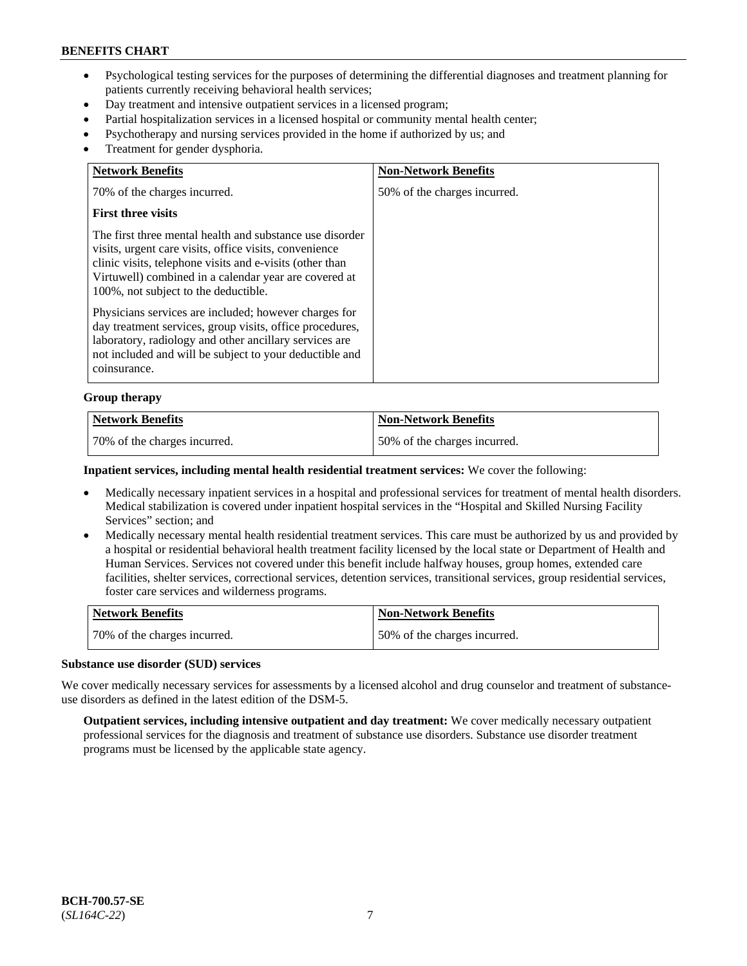- Psychological testing services for the purposes of determining the differential diagnoses and treatment planning for patients currently receiving behavioral health services;
- Day treatment and intensive outpatient services in a licensed program;
- Partial hospitalization services in a licensed hospital or community mental health center;
- Psychotherapy and nursing services provided in the home if authorized by us; and
- Treatment for gender dysphoria.

| <b>Network Benefits</b>                                                                                                                                                                                                                                                         | <b>Non-Network Benefits</b>  |
|---------------------------------------------------------------------------------------------------------------------------------------------------------------------------------------------------------------------------------------------------------------------------------|------------------------------|
| 70% of the charges incurred.                                                                                                                                                                                                                                                    | 50% of the charges incurred. |
| <b>First three visits</b>                                                                                                                                                                                                                                                       |                              |
| The first three mental health and substance use disorder<br>visits, urgent care visits, office visits, convenience<br>clinic visits, telephone visits and e-visits (other than<br>Virtuwell) combined in a calendar year are covered at<br>100%, not subject to the deductible. |                              |
| Physicians services are included; however charges for<br>day treatment services, group visits, office procedures,<br>laboratory, radiology and other ancillary services are<br>not included and will be subject to your deductible and<br>coinsurance.                          |                              |

#### **Group therapy**

| <b>Network Benefits</b>      | <b>Non-Network Benefits</b>  |
|------------------------------|------------------------------|
| 70% of the charges incurred. | 50% of the charges incurred. |

#### **Inpatient services, including mental health residential treatment services:** We cover the following:

- Medically necessary inpatient services in a hospital and professional services for treatment of mental health disorders. Medical stabilization is covered under inpatient hospital services in the "Hospital and Skilled Nursing Facility Services" section; and
- Medically necessary mental health residential treatment services. This care must be authorized by us and provided by a hospital or residential behavioral health treatment facility licensed by the local state or Department of Health and Human Services. Services not covered under this benefit include halfway houses, group homes, extended care facilities, shelter services, correctional services, detention services, transitional services, group residential services, foster care services and wilderness programs.

| Network Benefits             | Non-Network Benefits         |
|------------------------------|------------------------------|
| 70% of the charges incurred. | 50% of the charges incurred. |

#### **Substance use disorder (SUD) services**

We cover medically necessary services for assessments by a licensed alcohol and drug counselor and treatment of substanceuse disorders as defined in the latest edition of the DSM-5.

**Outpatient services, including intensive outpatient and day treatment:** We cover medically necessary outpatient professional services for the diagnosis and treatment of substance use disorders. Substance use disorder treatment programs must be licensed by the applicable state agency.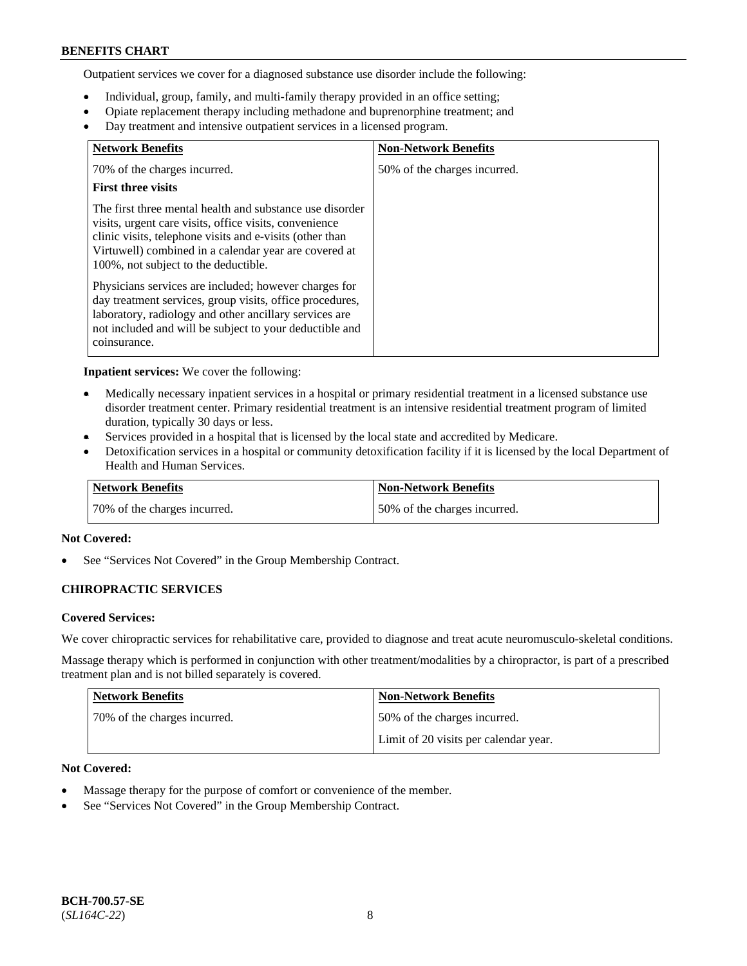Outpatient services we cover for a diagnosed substance use disorder include the following:

- Individual, group, family, and multi-family therapy provided in an office setting;
- Opiate replacement therapy including methadone and buprenorphine treatment; and
- Day treatment and intensive outpatient services in a licensed program.

| <b>Network Benefits</b>                                                                                                                                                                                                                                                         | <b>Non-Network Benefits</b>  |
|---------------------------------------------------------------------------------------------------------------------------------------------------------------------------------------------------------------------------------------------------------------------------------|------------------------------|
| 70% of the charges incurred.                                                                                                                                                                                                                                                    | 50% of the charges incurred. |
| <b>First three visits</b>                                                                                                                                                                                                                                                       |                              |
| The first three mental health and substance use disorder<br>visits, urgent care visits, office visits, convenience<br>clinic visits, telephone visits and e-visits (other than<br>Virtuwell) combined in a calendar year are covered at<br>100%, not subject to the deductible. |                              |
| Physicians services are included; however charges for<br>day treatment services, group visits, office procedures,<br>laboratory, radiology and other ancillary services are<br>not included and will be subject to your deductible and<br>coinsurance.                          |                              |

**Inpatient services:** We cover the following:

- Medically necessary inpatient services in a hospital or primary residential treatment in a licensed substance use disorder treatment center. Primary residential treatment is an intensive residential treatment program of limited duration, typically 30 days or less.
- Services provided in a hospital that is licensed by the local state and accredited by Medicare.
- Detoxification services in a hospital or community detoxification facility if it is licensed by the local Department of Health and Human Services.

| <b>Network Benefits</b>      | <b>Non-Network Benefits</b>  |
|------------------------------|------------------------------|
| 70% of the charges incurred. | 50% of the charges incurred. |

# **Not Covered:**

See "Services Not Covered" in the Group Membership Contract.

# **CHIROPRACTIC SERVICES**

#### **Covered Services:**

We cover chiropractic services for rehabilitative care, provided to diagnose and treat acute neuromusculo-skeletal conditions.

Massage therapy which is performed in conjunction with other treatment/modalities by a chiropractor, is part of a prescribed treatment plan and is not billed separately is covered.

| Network Benefits             | <b>Non-Network Benefits</b>           |
|------------------------------|---------------------------------------|
| 70% of the charges incurred. | 50% of the charges incurred.          |
|                              | Limit of 20 visits per calendar year. |

# **Not Covered:**

- Massage therapy for the purpose of comfort or convenience of the member.
- See "Services Not Covered" in the Group Membership Contract.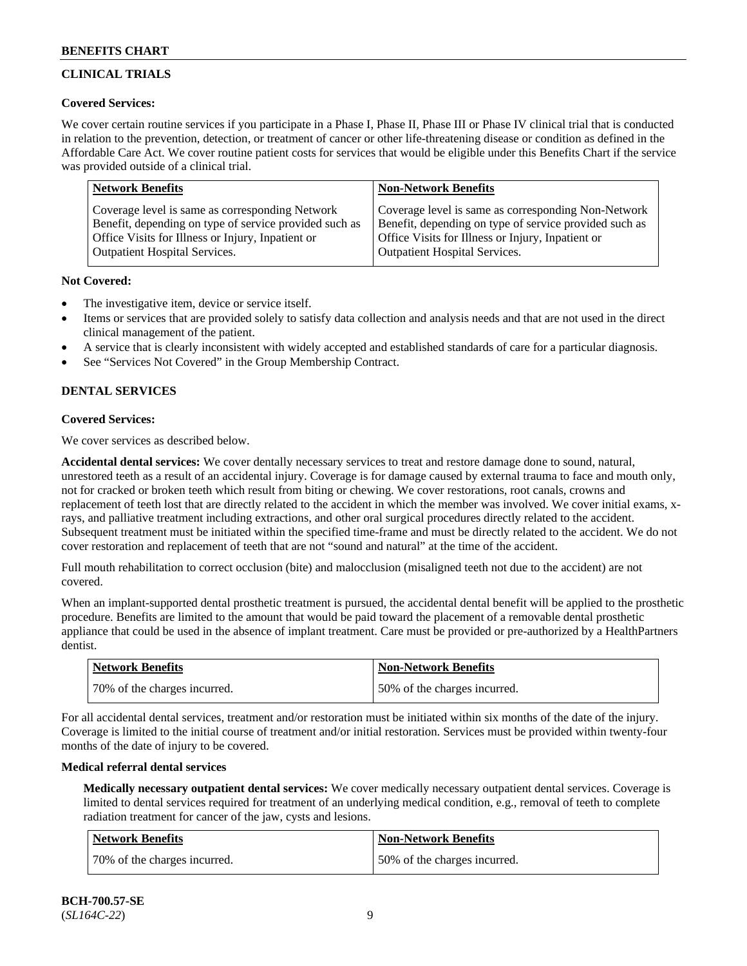# **CLINICAL TRIALS**

# **Covered Services:**

We cover certain routine services if you participate in a Phase I, Phase II, Phase III or Phase IV clinical trial that is conducted in relation to the prevention, detection, or treatment of cancer or other life-threatening disease or condition as defined in the Affordable Care Act. We cover routine patient costs for services that would be eligible under this Benefits Chart if the service was provided outside of a clinical trial.

| <b>Network Benefits</b>                                | <b>Non-Network Benefits</b>                            |
|--------------------------------------------------------|--------------------------------------------------------|
| Coverage level is same as corresponding Network        | Coverage level is same as corresponding Non-Network    |
| Benefit, depending on type of service provided such as | Benefit, depending on type of service provided such as |
| Office Visits for Illness or Injury, Inpatient or      | Office Visits for Illness or Injury, Inpatient or      |
| <b>Outpatient Hospital Services.</b>                   | Outpatient Hospital Services.                          |

# **Not Covered:**

- The investigative item, device or service itself.
- Items or services that are provided solely to satisfy data collection and analysis needs and that are not used in the direct clinical management of the patient.
- A service that is clearly inconsistent with widely accepted and established standards of care for a particular diagnosis.
- See "Services Not Covered" in the Group Membership Contract.

# **DENTAL SERVICES**

# **Covered Services:**

We cover services as described below.

**Accidental dental services:** We cover dentally necessary services to treat and restore damage done to sound, natural, unrestored teeth as a result of an accidental injury. Coverage is for damage caused by external trauma to face and mouth only, not for cracked or broken teeth which result from biting or chewing. We cover restorations, root canals, crowns and replacement of teeth lost that are directly related to the accident in which the member was involved. We cover initial exams, xrays, and palliative treatment including extractions, and other oral surgical procedures directly related to the accident. Subsequent treatment must be initiated within the specified time-frame and must be directly related to the accident. We do not cover restoration and replacement of teeth that are not "sound and natural" at the time of the accident.

Full mouth rehabilitation to correct occlusion (bite) and malocclusion (misaligned teeth not due to the accident) are not covered.

When an implant-supported dental prosthetic treatment is pursued, the accidental dental benefit will be applied to the prosthetic procedure. Benefits are limited to the amount that would be paid toward the placement of a removable dental prosthetic appliance that could be used in the absence of implant treatment. Care must be provided or pre-authorized by a HealthPartners dentist.

| <b>Network Benefits</b>      | <b>Non-Network Benefits</b>  |
|------------------------------|------------------------------|
| 70% of the charges incurred. | 50% of the charges incurred. |

For all accidental dental services, treatment and/or restoration must be initiated within six months of the date of the injury. Coverage is limited to the initial course of treatment and/or initial restoration. Services must be provided within twenty-four months of the date of injury to be covered.

# **Medical referral dental services**

**Medically necessary outpatient dental services:** We cover medically necessary outpatient dental services. Coverage is limited to dental services required for treatment of an underlying medical condition, e.g., removal of teeth to complete radiation treatment for cancer of the jaw, cysts and lesions.

| Network Benefits             | <b>Non-Network Benefits</b>  |
|------------------------------|------------------------------|
| 70% of the charges incurred. | 50% of the charges incurred. |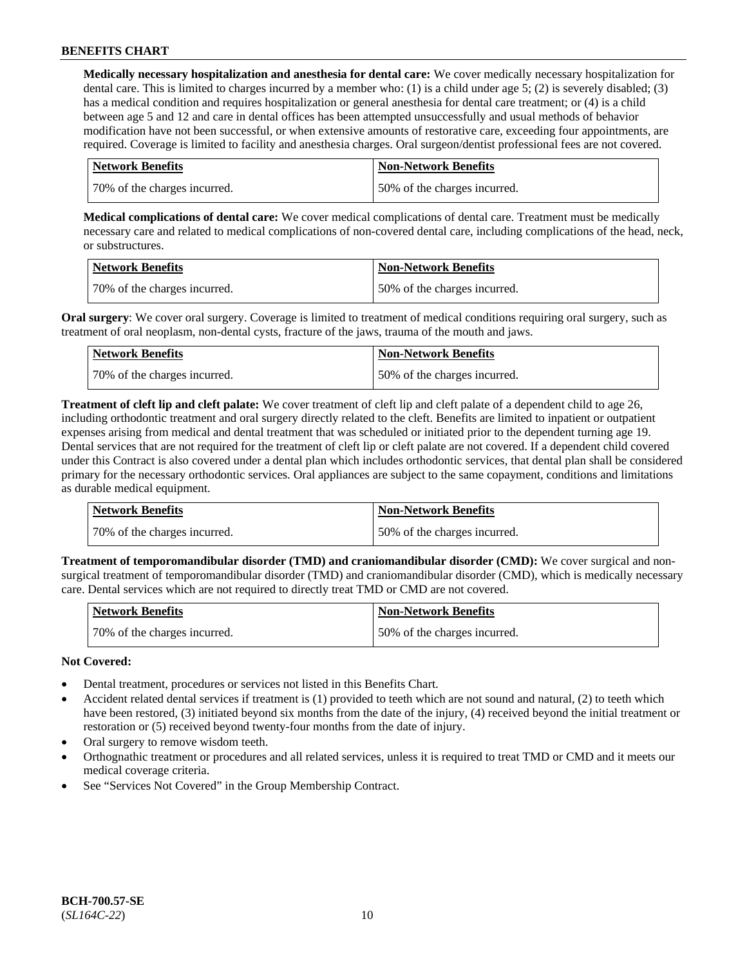**Medically necessary hospitalization and anesthesia for dental care:** We cover medically necessary hospitalization for dental care. This is limited to charges incurred by a member who: (1) is a child under age 5; (2) is severely disabled; (3) has a medical condition and requires hospitalization or general anesthesia for dental care treatment; or (4) is a child between age 5 and 12 and care in dental offices has been attempted unsuccessfully and usual methods of behavior modification have not been successful, or when extensive amounts of restorative care, exceeding four appointments, are required. Coverage is limited to facility and anesthesia charges. Oral surgeon/dentist professional fees are not covered.

| <b>Network Benefits</b>      | Non-Network Benefits         |
|------------------------------|------------------------------|
| 70% of the charges incurred. | 50% of the charges incurred. |

**Medical complications of dental care:** We cover medical complications of dental care. Treatment must be medically necessary care and related to medical complications of non-covered dental care, including complications of the head, neck, or substructures.

| Network Benefits             | <b>Non-Network Benefits</b>  |
|------------------------------|------------------------------|
| 70% of the charges incurred. | 50% of the charges incurred. |

**Oral surgery:** We cover oral surgery. Coverage is limited to treatment of medical conditions requiring oral surgery, such as treatment of oral neoplasm, non-dental cysts, fracture of the jaws, trauma of the mouth and jaws.

| <b>Network Benefits</b>      | <b>Non-Network Benefits</b>  |
|------------------------------|------------------------------|
| 70% of the charges incurred. | 50% of the charges incurred. |

**Treatment of cleft lip and cleft palate:** We cover treatment of cleft lip and cleft palate of a dependent child to age 26, including orthodontic treatment and oral surgery directly related to the cleft. Benefits are limited to inpatient or outpatient expenses arising from medical and dental treatment that was scheduled or initiated prior to the dependent turning age 19. Dental services that are not required for the treatment of cleft lip or cleft palate are not covered. If a dependent child covered under this Contract is also covered under a dental plan which includes orthodontic services, that dental plan shall be considered primary for the necessary orthodontic services. Oral appliances are subject to the same copayment, conditions and limitations as durable medical equipment.

| Network Benefits             | <b>Non-Network Benefits</b>  |
|------------------------------|------------------------------|
| 70% of the charges incurred. | 50% of the charges incurred. |

**Treatment of temporomandibular disorder (TMD) and craniomandibular disorder (CMD):** We cover surgical and nonsurgical treatment of temporomandibular disorder (TMD) and craniomandibular disorder (CMD), which is medically necessary care. Dental services which are not required to directly treat TMD or CMD are not covered.

| <b>Network Benefits</b>      | <b>Non-Network Benefits</b>  |
|------------------------------|------------------------------|
| 70% of the charges incurred. | 50% of the charges incurred. |

# **Not Covered:**

- Dental treatment, procedures or services not listed in this Benefits Chart.
- Accident related dental services if treatment is (1) provided to teeth which are not sound and natural, (2) to teeth which have been restored, (3) initiated beyond six months from the date of the injury, (4) received beyond the initial treatment or restoration or (5) received beyond twenty-four months from the date of injury.
- Oral surgery to remove wisdom teeth.
- Orthognathic treatment or procedures and all related services, unless it is required to treat TMD or CMD and it meets our medical coverage criteria.
- See "Services Not Covered" in the Group Membership Contract.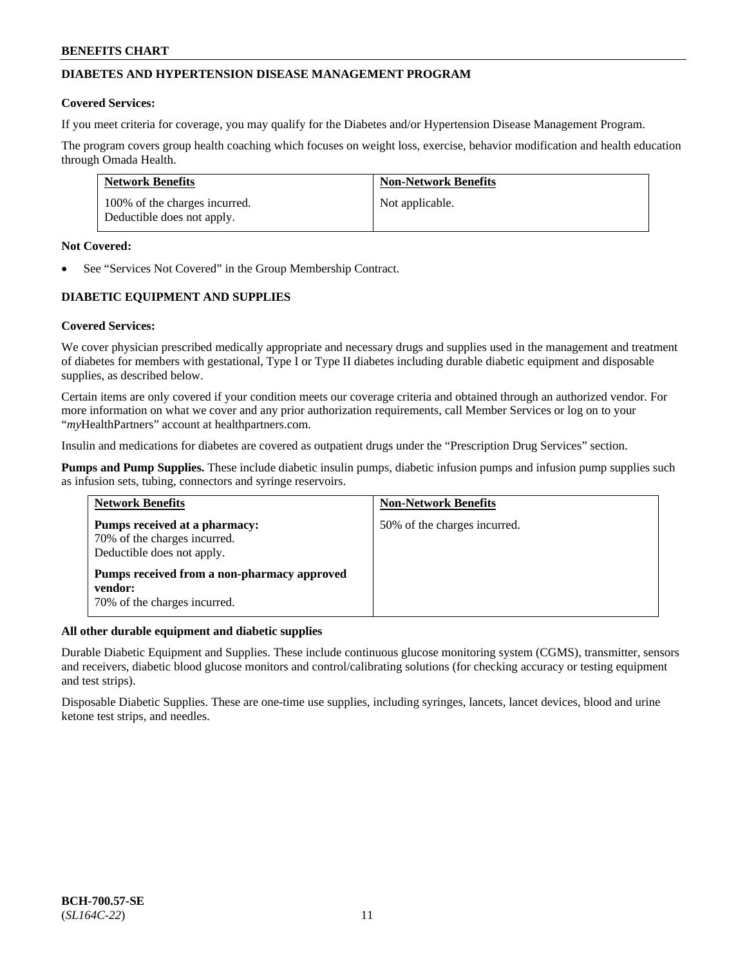# **DIABETES AND HYPERTENSION DISEASE MANAGEMENT PROGRAM**

### **Covered Services:**

If you meet criteria for coverage, you may qualify for the Diabetes and/or Hypertension Disease Management Program.

The program covers group health coaching which focuses on weight loss, exercise, behavior modification and health education through Omada Health.

| <b>Network Benefits</b>                                     | <b>Non-Network Benefits</b> |
|-------------------------------------------------------------|-----------------------------|
| 100% of the charges incurred.<br>Deductible does not apply. | Not applicable.             |

#### **Not Covered:**

See "Services Not Covered" in the Group Membership Contract.

# **DIABETIC EQUIPMENT AND SUPPLIES**

# **Covered Services:**

We cover physician prescribed medically appropriate and necessary drugs and supplies used in the management and treatment of diabetes for members with gestational, Type I or Type II diabetes including durable diabetic equipment and disposable supplies, as described below.

Certain items are only covered if your condition meets our coverage criteria and obtained through an authorized vendor. For more information on what we cover and any prior authorization requirements, call Member Services or log on to your "*my*HealthPartners" account at [healthpartners.com.](http://www.healthpartners.com/)

Insulin and medications for diabetes are covered as outpatient drugs under the "Prescription Drug Services" section.

**Pumps and Pump Supplies.** These include diabetic insulin pumps, diabetic infusion pumps and infusion pump supplies such as infusion sets, tubing, connectors and syringe reservoirs.

| <b>Network Benefits</b>                                                                     | <b>Non-Network Benefits</b>  |
|---------------------------------------------------------------------------------------------|------------------------------|
| Pumps received at a pharmacy:<br>70% of the charges incurred.<br>Deductible does not apply. | 50% of the charges incurred. |
| Pumps received from a non-pharmacy approved<br>vendor:<br>70% of the charges incurred.      |                              |

# **All other durable equipment and diabetic supplies**

Durable Diabetic Equipment and Supplies. These include continuous glucose monitoring system (CGMS), transmitter, sensors and receivers, diabetic blood glucose monitors and control/calibrating solutions (for checking accuracy or testing equipment and test strips).

Disposable Diabetic Supplies. These are one-time use supplies, including syringes, lancets, lancet devices, blood and urine ketone test strips, and needles.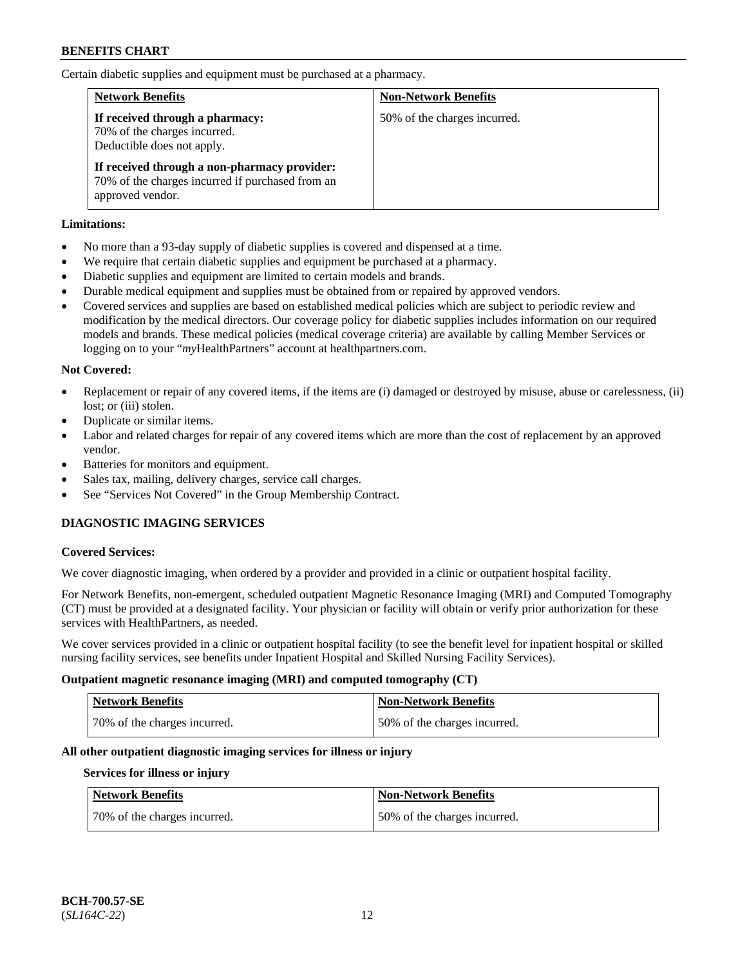Certain diabetic supplies and equipment must be purchased at a pharmacy.

| <b>Network Benefits</b>                                                                                              | <b>Non-Network Benefits</b>  |
|----------------------------------------------------------------------------------------------------------------------|------------------------------|
| If received through a pharmacy:<br>70% of the charges incurred.<br>Deductible does not apply.                        | 50% of the charges incurred. |
| If received through a non-pharmacy provider:<br>70% of the charges incurred if purchased from an<br>approved vendor. |                              |

# **Limitations:**

- No more than a 93-day supply of diabetic supplies is covered and dispensed at a time.
- We require that certain diabetic supplies and equipment be purchased at a pharmacy.
- Diabetic supplies and equipment are limited to certain models and brands.
- Durable medical equipment and supplies must be obtained from or repaired by approved vendors.
- Covered services and supplies are based on established medical policies which are subject to periodic review and modification by the medical directors. Our coverage policy for diabetic supplies includes information on our required models and brands. These medical policies (medical coverage criteria) are available by calling Member Services or logging on to your "*my*HealthPartners" account at [healthpartners.com.](http://www.healthpartners.com/)

# **Not Covered:**

- Replacement or repair of any covered items, if the items are (i) damaged or destroyed by misuse, abuse or carelessness, (ii) lost: or (iii) stolen.
- Duplicate or similar items.
- Labor and related charges for repair of any covered items which are more than the cost of replacement by an approved vendor.
- Batteries for monitors and equipment.
- Sales tax, mailing, delivery charges, service call charges.
- See "Services Not Covered" in the Group Membership Contract.

# **DIAGNOSTIC IMAGING SERVICES**

# **Covered Services:**

We cover diagnostic imaging, when ordered by a provider and provided in a clinic or outpatient hospital facility.

For Network Benefits, non-emergent, scheduled outpatient Magnetic Resonance Imaging (MRI) and Computed Tomography (CT) must be provided at a designated facility. Your physician or facility will obtain or verify prior authorization for these services with HealthPartners, as needed.

We cover services provided in a clinic or outpatient hospital facility (to see the benefit level for inpatient hospital or skilled nursing facility services, see benefits under Inpatient Hospital and Skilled Nursing Facility Services).

# **Outpatient magnetic resonance imaging (MRI) and computed tomography (CT)**

| <b>Network Benefits</b>      | <b>Non-Network Benefits</b>  |
|------------------------------|------------------------------|
| 70% of the charges incurred. | 50% of the charges incurred. |

# **All other outpatient diagnostic imaging services for illness or injury**

# **Services for illness or injury**

| <b>Network Benefits</b>      | <b>Non-Network Benefits</b>  |
|------------------------------|------------------------------|
| 70% of the charges incurred. | 50% of the charges incurred. |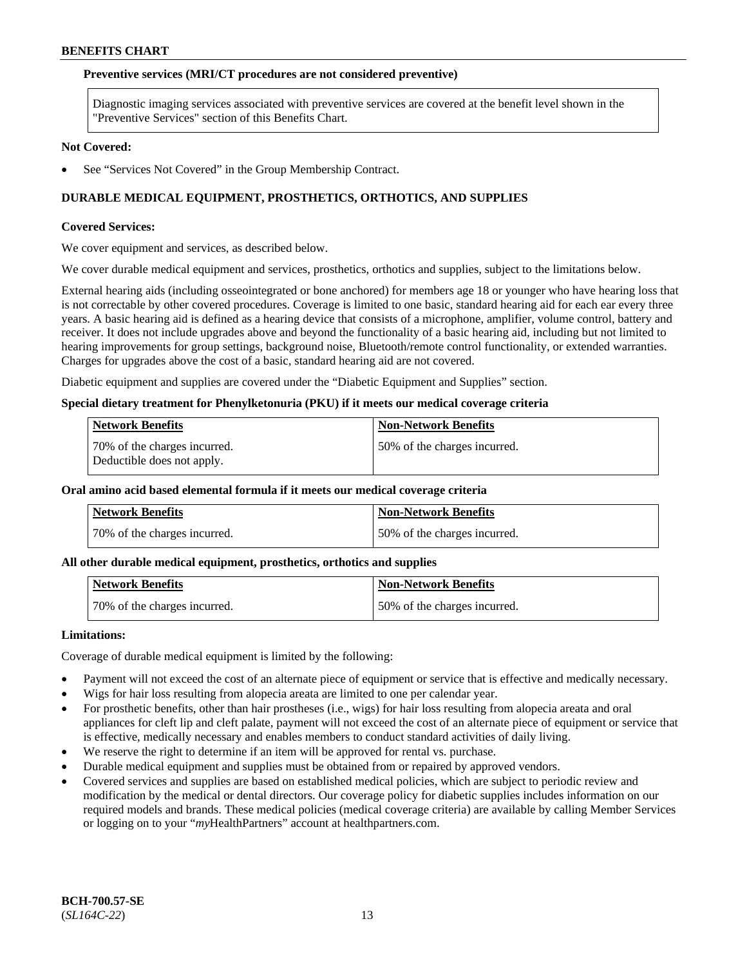#### **Preventive services (MRI/CT procedures are not considered preventive)**

Diagnostic imaging services associated with preventive services are covered at the benefit level shown in the "Preventive Services" section of this Benefits Chart.

#### **Not Covered:**

See "Services Not Covered" in the Group Membership Contract.

# **DURABLE MEDICAL EQUIPMENT, PROSTHETICS, ORTHOTICS, AND SUPPLIES**

#### **Covered Services:**

We cover equipment and services, as described below.

We cover durable medical equipment and services, prosthetics, orthotics and supplies, subject to the limitations below.

External hearing aids (including osseointegrated or bone anchored) for members age 18 or younger who have hearing loss that is not correctable by other covered procedures. Coverage is limited to one basic, standard hearing aid for each ear every three years. A basic hearing aid is defined as a hearing device that consists of a microphone, amplifier, volume control, battery and receiver. It does not include upgrades above and beyond the functionality of a basic hearing aid, including but not limited to hearing improvements for group settings, background noise, Bluetooth/remote control functionality, or extended warranties. Charges for upgrades above the cost of a basic, standard hearing aid are not covered.

Diabetic equipment and supplies are covered under the "Diabetic Equipment and Supplies" section.

#### **Special dietary treatment for Phenylketonuria (PKU) if it meets our medical coverage criteria**

| <b>Network Benefits</b>                                    | <b>Non-Network Benefits</b>  |
|------------------------------------------------------------|------------------------------|
| 70% of the charges incurred.<br>Deductible does not apply. | 50% of the charges incurred. |

# **Oral amino acid based elemental formula if it meets our medical coverage criteria**

| <b>Network Benefits</b>      | ' Non-Network Benefits       |
|------------------------------|------------------------------|
| 70% of the charges incurred. | 50% of the charges incurred. |

#### **All other durable medical equipment, prosthetics, orthotics and supplies**

| <b>Network Benefits</b>      | Non-Network Benefits         |
|------------------------------|------------------------------|
| 70% of the charges incurred. | 50% of the charges incurred. |

#### **Limitations:**

Coverage of durable medical equipment is limited by the following:

- Payment will not exceed the cost of an alternate piece of equipment or service that is effective and medically necessary.
- Wigs for hair loss resulting from alopecia areata are limited to one per calendar year.
- For prosthetic benefits, other than hair prostheses (i.e., wigs) for hair loss resulting from alopecia areata and oral appliances for cleft lip and cleft palate, payment will not exceed the cost of an alternate piece of equipment or service that is effective, medically necessary and enables members to conduct standard activities of daily living.
- We reserve the right to determine if an item will be approved for rental vs. purchase.
- Durable medical equipment and supplies must be obtained from or repaired by approved vendors.
- Covered services and supplies are based on established medical policies, which are subject to periodic review and modification by the medical or dental directors. Our coverage policy for diabetic supplies includes information on our required models and brands. These medical policies (medical coverage criteria) are available by calling Member Services or logging on to your "*my*HealthPartners" account a[t healthpartners.com.](https://www.healthpartners.com/hp/index.html)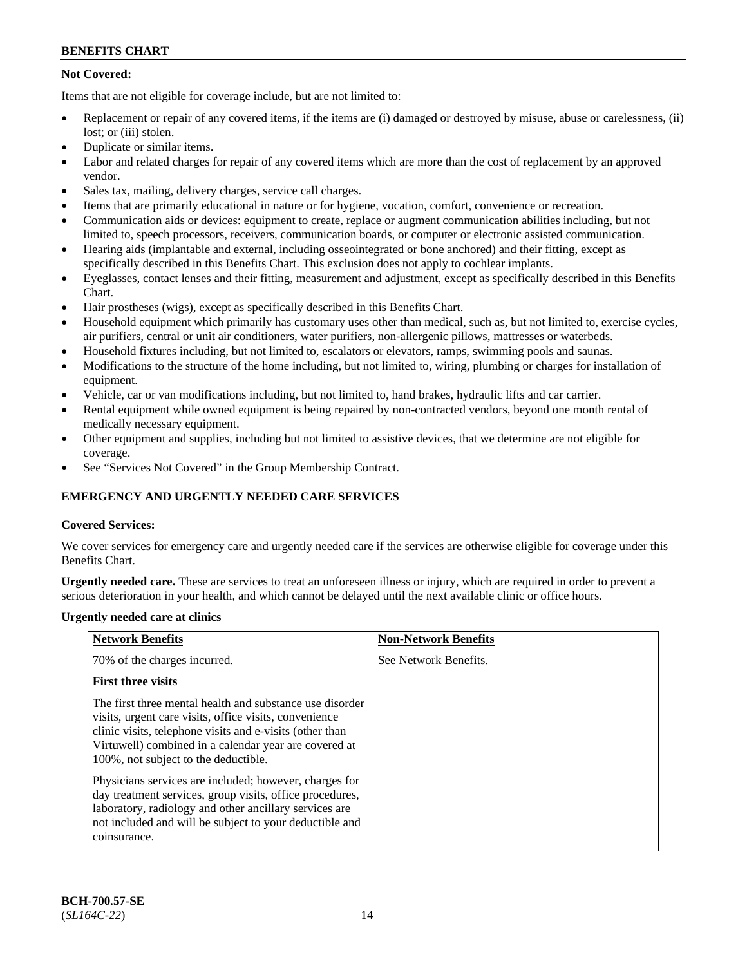# **Not Covered:**

Items that are not eligible for coverage include, but are not limited to:

- Replacement or repair of any covered items, if the items are (i) damaged or destroyed by misuse, abuse or carelessness, (ii) lost; or (iii) stolen.
- Duplicate or similar items.
- Labor and related charges for repair of any covered items which are more than the cost of replacement by an approved vendor.
- Sales tax, mailing, delivery charges, service call charges.
- Items that are primarily educational in nature or for hygiene, vocation, comfort, convenience or recreation.
- Communication aids or devices: equipment to create, replace or augment communication abilities including, but not limited to, speech processors, receivers, communication boards, or computer or electronic assisted communication.
- Hearing aids (implantable and external, including osseointegrated or bone anchored) and their fitting, except as specifically described in this Benefits Chart. This exclusion does not apply to cochlear implants.
- Eyeglasses, contact lenses and their fitting, measurement and adjustment, except as specifically described in this Benefits Chart.
- Hair prostheses (wigs), except as specifically described in this Benefits Chart.
- Household equipment which primarily has customary uses other than medical, such as, but not limited to, exercise cycles, air purifiers, central or unit air conditioners, water purifiers, non-allergenic pillows, mattresses or waterbeds.
- Household fixtures including, but not limited to, escalators or elevators, ramps, swimming pools and saunas.
- Modifications to the structure of the home including, but not limited to, wiring, plumbing or charges for installation of equipment.
- Vehicle, car or van modifications including, but not limited to, hand brakes, hydraulic lifts and car carrier.
- Rental equipment while owned equipment is being repaired by non-contracted vendors, beyond one month rental of medically necessary equipment.
- Other equipment and supplies, including but not limited to assistive devices, that we determine are not eligible for coverage.
- See "Services Not Covered" in the Group Membership Contract.

# **EMERGENCY AND URGENTLY NEEDED CARE SERVICES**

# **Covered Services:**

We cover services for emergency care and urgently needed care if the services are otherwise eligible for coverage under this Benefits Chart.

**Urgently needed care.** These are services to treat an unforeseen illness or injury, which are required in order to prevent a serious deterioration in your health, and which cannot be delayed until the next available clinic or office hours.

# **Urgently needed care at clinics**

| <b>Network Benefits</b>                                                                                                                                                                                                                                                         | <b>Non-Network Benefits</b> |
|---------------------------------------------------------------------------------------------------------------------------------------------------------------------------------------------------------------------------------------------------------------------------------|-----------------------------|
| 70% of the charges incurred.                                                                                                                                                                                                                                                    | See Network Benefits.       |
| <b>First three visits</b>                                                                                                                                                                                                                                                       |                             |
| The first three mental health and substance use disorder<br>visits, urgent care visits, office visits, convenience<br>clinic visits, telephone visits and e-visits (other than<br>Virtuwell) combined in a calendar year are covered at<br>100%, not subject to the deductible. |                             |
| Physicians services are included; however, charges for<br>day treatment services, group visits, office procedures,<br>laboratory, radiology and other ancillary services are<br>not included and will be subject to your deductible and<br>coinsurance.                         |                             |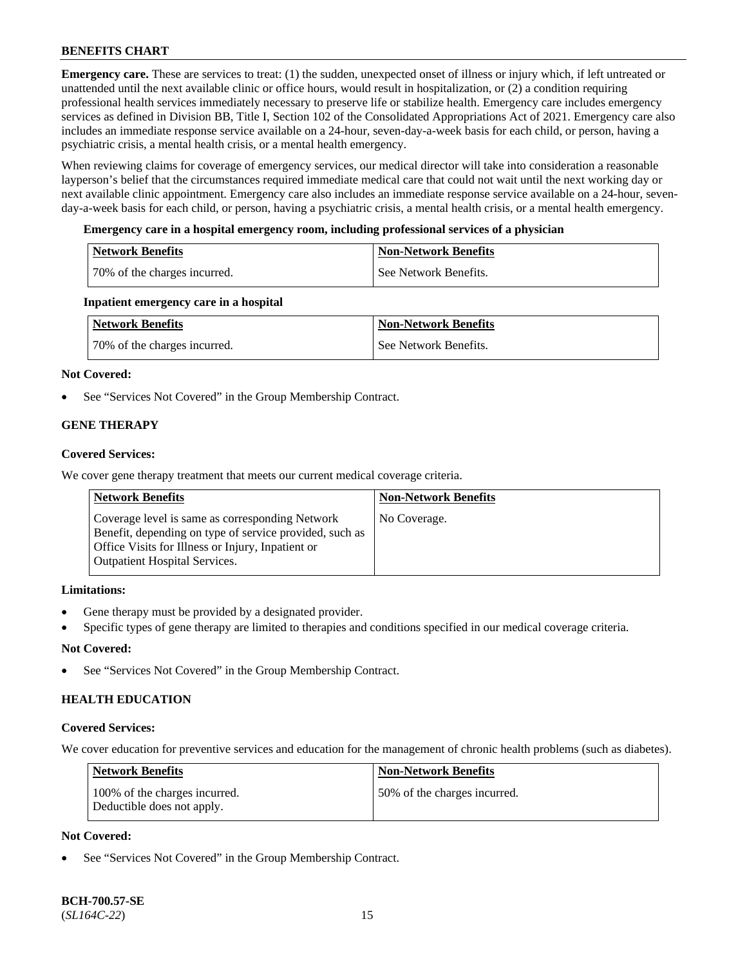**Emergency care.** These are services to treat: (1) the sudden, unexpected onset of illness or injury which, if left untreated or unattended until the next available clinic or office hours, would result in hospitalization, or (2) a condition requiring professional health services immediately necessary to preserve life or stabilize health. Emergency care includes emergency services as defined in Division BB, Title I, Section 102 of the Consolidated Appropriations Act of 2021. Emergency care also includes an immediate response service available on a 24-hour, seven-day-a-week basis for each child, or person, having a psychiatric crisis, a mental health crisis, or a mental health emergency.

When reviewing claims for coverage of emergency services, our medical director will take into consideration a reasonable layperson's belief that the circumstances required immediate medical care that could not wait until the next working day or next available clinic appointment. Emergency care also includes an immediate response service available on a 24-hour, sevenday-a-week basis for each child, or person, having a psychiatric crisis, a mental health crisis, or a mental health emergency.

# **Emergency care in a hospital emergency room, including professional services of a physician**

| Network Benefits             | <b>Non-Network Benefits</b> |
|------------------------------|-----------------------------|
| 70% of the charges incurred. | See Network Benefits.       |

# **Inpatient emergency care in a hospital**

| Network Benefits             | <b>Non-Network Benefits</b> |
|------------------------------|-----------------------------|
| 70% of the charges incurred. | See Network Benefits.       |

# **Not Covered:**

See "Services Not Covered" in the Group Membership Contract.

# **GENE THERAPY**

# **Covered Services:**

We cover gene therapy treatment that meets our current medical coverage criteria.

| <b>Network Benefits</b>                                                                                                                                                                                 | <b>Non-Network Benefits</b> |
|---------------------------------------------------------------------------------------------------------------------------------------------------------------------------------------------------------|-----------------------------|
| Coverage level is same as corresponding Network<br>Benefit, depending on type of service provided, such as<br>Office Visits for Illness or Injury, Inpatient or<br><b>Outpatient Hospital Services.</b> | No Coverage.                |

# **Limitations:**

- Gene therapy must be provided by a designated provider.
- Specific types of gene therapy are limited to therapies and conditions specified in our medical coverage criteria.

# **Not Covered:**

See "Services Not Covered" in the Group Membership Contract.

# **HEALTH EDUCATION**

# **Covered Services:**

We cover education for preventive services and education for the management of chronic health problems (such as diabetes).

| <b>Network Benefits</b>                                     | Non-Network Benefits         |
|-------------------------------------------------------------|------------------------------|
| 100% of the charges incurred.<br>Deductible does not apply. | 50% of the charges incurred. |

# **Not Covered:**

See "Services Not Covered" in the Group Membership Contract.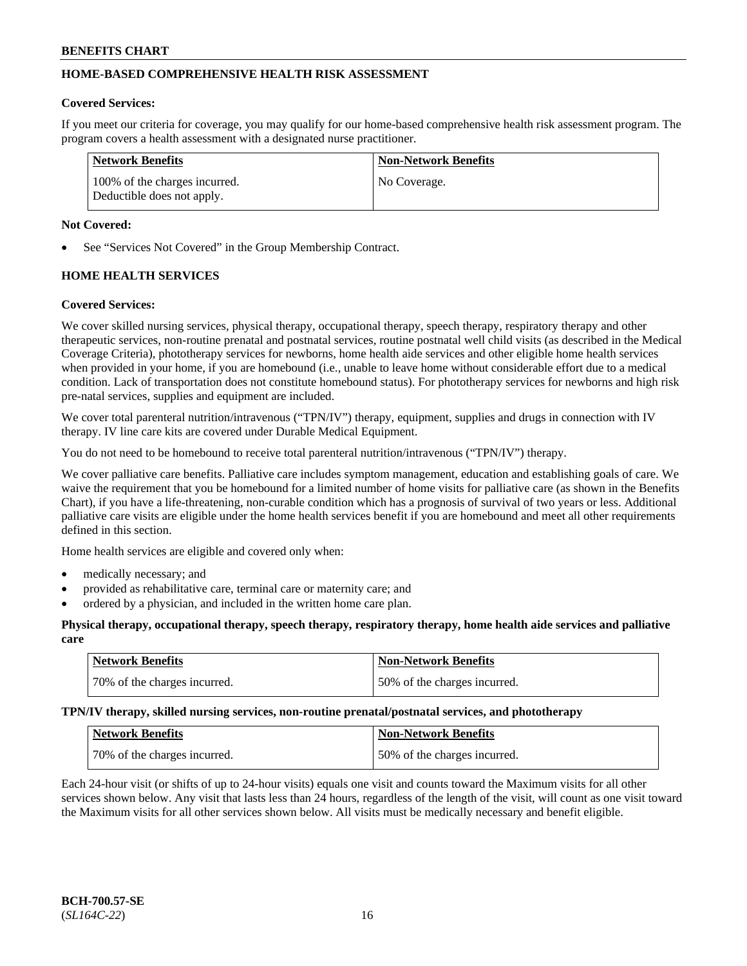# **HOME-BASED COMPREHENSIVE HEALTH RISK ASSESSMENT**

### **Covered Services:**

If you meet our criteria for coverage, you may qualify for our home-based comprehensive health risk assessment program. The program covers a health assessment with a designated nurse practitioner.

| Network Benefits                                            | Non-Network Benefits |
|-------------------------------------------------------------|----------------------|
| 100% of the charges incurred.<br>Deductible does not apply. | No Coverage.         |

### **Not Covered:**

See "Services Not Covered" in the Group Membership Contract.

# **HOME HEALTH SERVICES**

#### **Covered Services:**

We cover skilled nursing services, physical therapy, occupational therapy, speech therapy, respiratory therapy and other therapeutic services, non-routine prenatal and postnatal services, routine postnatal well child visits (as described in the Medical Coverage Criteria), phototherapy services for newborns, home health aide services and other eligible home health services when provided in your home, if you are homebound (i.e., unable to leave home without considerable effort due to a medical condition. Lack of transportation does not constitute homebound status). For phototherapy services for newborns and high risk pre-natal services, supplies and equipment are included.

We cover total parenteral nutrition/intravenous ("TPN/IV") therapy, equipment, supplies and drugs in connection with IV therapy. IV line care kits are covered under Durable Medical Equipment.

You do not need to be homebound to receive total parenteral nutrition/intravenous ("TPN/IV") therapy.

We cover palliative care benefits. Palliative care includes symptom management, education and establishing goals of care. We waive the requirement that you be homebound for a limited number of home visits for palliative care (as shown in the Benefits Chart), if you have a life-threatening, non-curable condition which has a prognosis of survival of two years or less. Additional palliative care visits are eligible under the home health services benefit if you are homebound and meet all other requirements defined in this section.

Home health services are eligible and covered only when:

- medically necessary; and
- provided as rehabilitative care, terminal care or maternity care; and
- ordered by a physician, and included in the written home care plan.

#### **Physical therapy, occupational therapy, speech therapy, respiratory therapy, home health aide services and palliative care**

| <b>Network Benefits</b>       | Non-Network Benefits         |
|-------------------------------|------------------------------|
| 170% of the charges incurred. | 50% of the charges incurred. |

**TPN/IV therapy, skilled nursing services, non-routine prenatal/postnatal services, and phototherapy**

| <b>Network Benefits</b>      | <b>Non-Network Benefits</b>  |
|------------------------------|------------------------------|
| 70% of the charges incurred. | 50% of the charges incurred. |

Each 24-hour visit (or shifts of up to 24-hour visits) equals one visit and counts toward the Maximum visits for all other services shown below. Any visit that lasts less than 24 hours, regardless of the length of the visit, will count as one visit toward the Maximum visits for all other services shown below. All visits must be medically necessary and benefit eligible.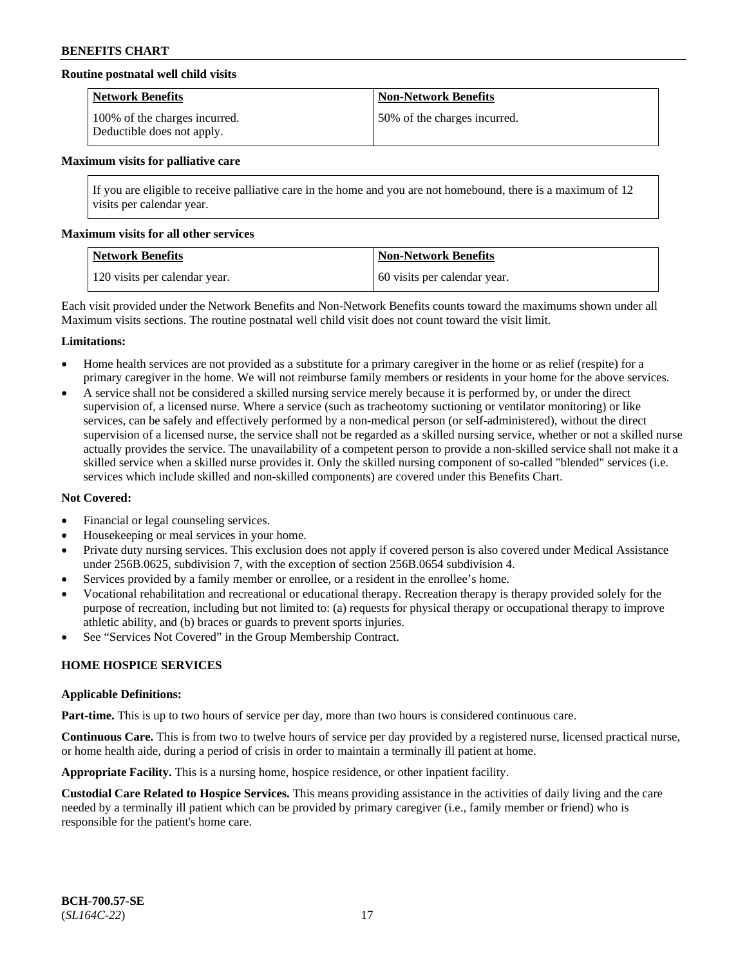# **Routine postnatal well child visits**

| <b>Network Benefits</b>                                     | Non-Network Benefits         |
|-------------------------------------------------------------|------------------------------|
| 100% of the charges incurred.<br>Deductible does not apply. | 50% of the charges incurred. |

#### **Maximum visits for palliative care**

If you are eligible to receive palliative care in the home and you are not homebound, there is a maximum of 12 visits per calendar year.

#### **Maximum visits for all other services**

| Network Benefits              | <b>Non-Network Benefits</b>  |
|-------------------------------|------------------------------|
| 120 visits per calendar year. | 60 visits per calendar year. |

Each visit provided under the Network Benefits and Non-Network Benefits counts toward the maximums shown under all Maximum visits sections. The routine postnatal well child visit does not count toward the visit limit.

#### **Limitations:**

- Home health services are not provided as a substitute for a primary caregiver in the home or as relief (respite) for a primary caregiver in the home. We will not reimburse family members or residents in your home for the above services.
- A service shall not be considered a skilled nursing service merely because it is performed by, or under the direct supervision of, a licensed nurse. Where a service (such as tracheotomy suctioning or ventilator monitoring) or like services, can be safely and effectively performed by a non-medical person (or self-administered), without the direct supervision of a licensed nurse, the service shall not be regarded as a skilled nursing service, whether or not a skilled nurse actually provides the service. The unavailability of a competent person to provide a non-skilled service shall not make it a skilled service when a skilled nurse provides it. Only the skilled nursing component of so-called "blended" services (i.e. services which include skilled and non-skilled components) are covered under this Benefits Chart.

# **Not Covered:**

- Financial or legal counseling services.
- Housekeeping or meal services in your home.
- Private duty nursing services. This exclusion does not apply if covered person is also covered under Medical Assistance under 256B.0625, subdivision 7, with the exception of section 256B.0654 subdivision 4.
- Services provided by a family member or enrollee, or a resident in the enrollee's home.
- Vocational rehabilitation and recreational or educational therapy. Recreation therapy is therapy provided solely for the purpose of recreation, including but not limited to: (a) requests for physical therapy or occupational therapy to improve athletic ability, and (b) braces or guards to prevent sports injuries.
- See "Services Not Covered" in the Group Membership Contract.

# **HOME HOSPICE SERVICES**

#### **Applicable Definitions:**

**Part-time.** This is up to two hours of service per day, more than two hours is considered continuous care.

**Continuous Care.** This is from two to twelve hours of service per day provided by a registered nurse, licensed practical nurse, or home health aide, during a period of crisis in order to maintain a terminally ill patient at home.

**Appropriate Facility.** This is a nursing home, hospice residence, or other inpatient facility.

**Custodial Care Related to Hospice Services.** This means providing assistance in the activities of daily living and the care needed by a terminally ill patient which can be provided by primary caregiver (i.e., family member or friend) who is responsible for the patient's home care.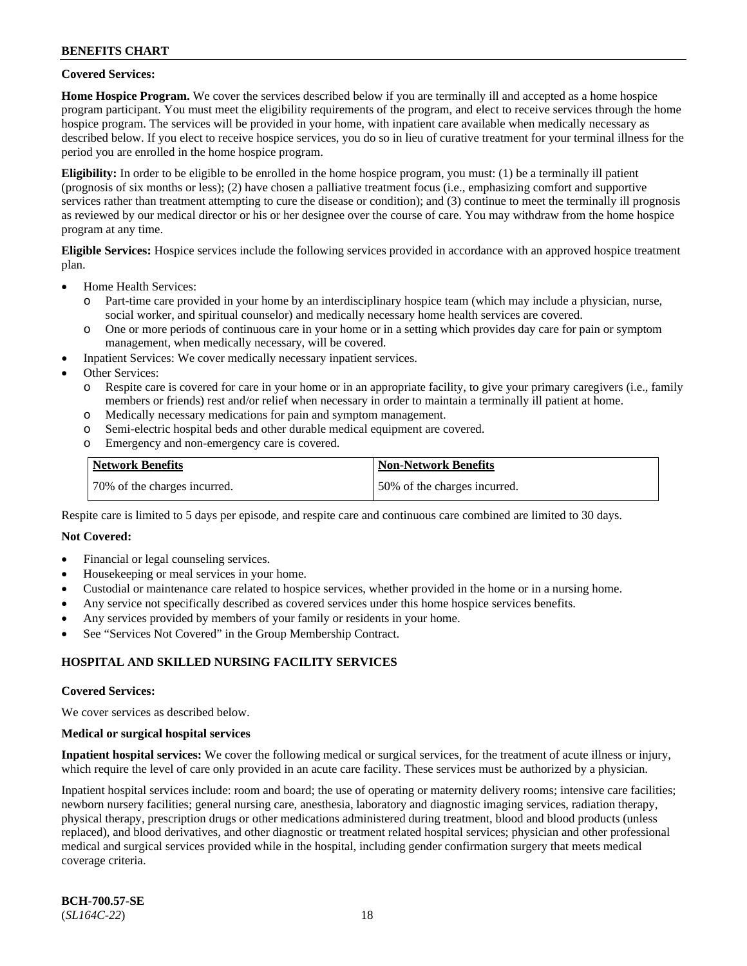# **Covered Services:**

**Home Hospice Program.** We cover the services described below if you are terminally ill and accepted as a home hospice program participant. You must meet the eligibility requirements of the program, and elect to receive services through the home hospice program. The services will be provided in your home, with inpatient care available when medically necessary as described below. If you elect to receive hospice services, you do so in lieu of curative treatment for your terminal illness for the period you are enrolled in the home hospice program.

**Eligibility:** In order to be eligible to be enrolled in the home hospice program, you must: (1) be a terminally ill patient (prognosis of six months or less); (2) have chosen a palliative treatment focus (i.e., emphasizing comfort and supportive services rather than treatment attempting to cure the disease or condition); and (3) continue to meet the terminally ill prognosis as reviewed by our medical director or his or her designee over the course of care. You may withdraw from the home hospice program at any time.

**Eligible Services:** Hospice services include the following services provided in accordance with an approved hospice treatment plan.

- Home Health Services:
	- o Part-time care provided in your home by an interdisciplinary hospice team (which may include a physician, nurse, social worker, and spiritual counselor) and medically necessary home health services are covered.
	- o One or more periods of continuous care in your home or in a setting which provides day care for pain or symptom management, when medically necessary, will be covered.
	- Inpatient Services: We cover medically necessary inpatient services.
- Other Services:
	- o Respite care is covered for care in your home or in an appropriate facility, to give your primary caregivers (i.e., family members or friends) rest and/or relief when necessary in order to maintain a terminally ill patient at home.
	- o Medically necessary medications for pain and symptom management.
	- Semi-electric hospital beds and other durable medical equipment are covered.
	- o Emergency and non-emergency care is covered.

| <b>Network Benefits</b>      | <b>Non-Network Benefits</b>  |
|------------------------------|------------------------------|
| 70% of the charges incurred. | 50% of the charges incurred. |

Respite care is limited to 5 days per episode, and respite care and continuous care combined are limited to 30 days.

# **Not Covered:**

- Financial or legal counseling services.
- Housekeeping or meal services in your home.
- Custodial or maintenance care related to hospice services, whether provided in the home or in a nursing home.
- Any service not specifically described as covered services under this home hospice services benefits.
- Any services provided by members of your family or residents in your home.
- See "Services Not Covered" in the Group Membership Contract.

# **HOSPITAL AND SKILLED NURSING FACILITY SERVICES**

#### **Covered Services:**

We cover services as described below.

#### **Medical or surgical hospital services**

**Inpatient hospital services:** We cover the following medical or surgical services, for the treatment of acute illness or injury, which require the level of care only provided in an acute care facility. These services must be authorized by a physician.

Inpatient hospital services include: room and board; the use of operating or maternity delivery rooms; intensive care facilities; newborn nursery facilities; general nursing care, anesthesia, laboratory and diagnostic imaging services, radiation therapy, physical therapy, prescription drugs or other medications administered during treatment, blood and blood products (unless replaced), and blood derivatives, and other diagnostic or treatment related hospital services; physician and other professional medical and surgical services provided while in the hospital, including gender confirmation surgery that meets medical coverage criteria.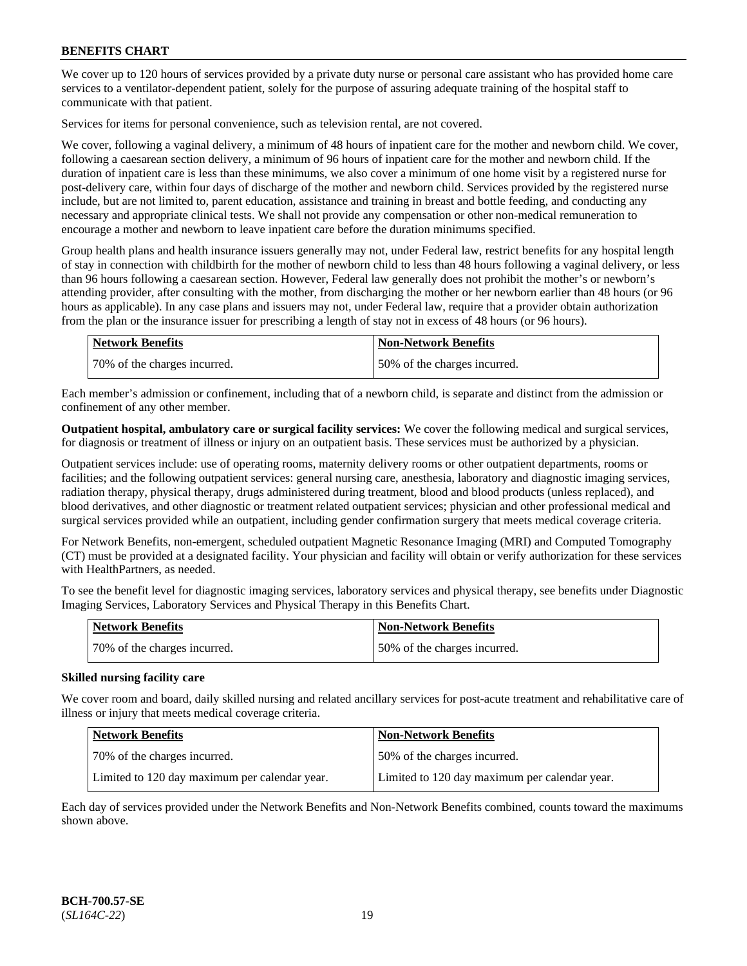We cover up to 120 hours of services provided by a private duty nurse or personal care assistant who has provided home care services to a ventilator-dependent patient, solely for the purpose of assuring adequate training of the hospital staff to communicate with that patient.

Services for items for personal convenience, such as television rental, are not covered.

We cover, following a vaginal delivery, a minimum of 48 hours of inpatient care for the mother and newborn child. We cover, following a caesarean section delivery, a minimum of 96 hours of inpatient care for the mother and newborn child. If the duration of inpatient care is less than these minimums, we also cover a minimum of one home visit by a registered nurse for post-delivery care, within four days of discharge of the mother and newborn child. Services provided by the registered nurse include, but are not limited to, parent education, assistance and training in breast and bottle feeding, and conducting any necessary and appropriate clinical tests. We shall not provide any compensation or other non-medical remuneration to encourage a mother and newborn to leave inpatient care before the duration minimums specified.

Group health plans and health insurance issuers generally may not, under Federal law, restrict benefits for any hospital length of stay in connection with childbirth for the mother of newborn child to less than 48 hours following a vaginal delivery, or less than 96 hours following a caesarean section. However, Federal law generally does not prohibit the mother's or newborn's attending provider, after consulting with the mother, from discharging the mother or her newborn earlier than 48 hours (or 96 hours as applicable). In any case plans and issuers may not, under Federal law, require that a provider obtain authorization from the plan or the insurance issuer for prescribing a length of stay not in excess of 48 hours (or 96 hours).

| Network Benefits             | <b>Non-Network Benefits</b>  |
|------------------------------|------------------------------|
| 70% of the charges incurred. | 50% of the charges incurred. |

Each member's admission or confinement, including that of a newborn child, is separate and distinct from the admission or confinement of any other member.

**Outpatient hospital, ambulatory care or surgical facility services:** We cover the following medical and surgical services, for diagnosis or treatment of illness or injury on an outpatient basis. These services must be authorized by a physician.

Outpatient services include: use of operating rooms, maternity delivery rooms or other outpatient departments, rooms or facilities; and the following outpatient services: general nursing care, anesthesia, laboratory and diagnostic imaging services, radiation therapy, physical therapy, drugs administered during treatment, blood and blood products (unless replaced), and blood derivatives, and other diagnostic or treatment related outpatient services; physician and other professional medical and surgical services provided while an outpatient, including gender confirmation surgery that meets medical coverage criteria.

For Network Benefits, non-emergent, scheduled outpatient Magnetic Resonance Imaging (MRI) and Computed Tomography (CT) must be provided at a designated facility. Your physician and facility will obtain or verify authorization for these services with HealthPartners, as needed.

To see the benefit level for diagnostic imaging services, laboratory services and physical therapy, see benefits under Diagnostic Imaging Services, Laboratory Services and Physical Therapy in this Benefits Chart.

| <b>Network Benefits</b>      | <b>Non-Network Benefits</b>  |
|------------------------------|------------------------------|
| 70% of the charges incurred. | 50% of the charges incurred. |

# **Skilled nursing facility care**

We cover room and board, daily skilled nursing and related ancillary services for post-acute treatment and rehabilitative care of illness or injury that meets medical coverage criteria.

| <b>Network Benefits</b>                       | <b>Non-Network Benefits</b>                   |
|-----------------------------------------------|-----------------------------------------------|
| 170% of the charges incurred.                 | 150% of the charges incurred.                 |
| Limited to 120 day maximum per calendar year. | Limited to 120 day maximum per calendar year. |

Each day of services provided under the Network Benefits and Non-Network Benefits combined, counts toward the maximums shown above.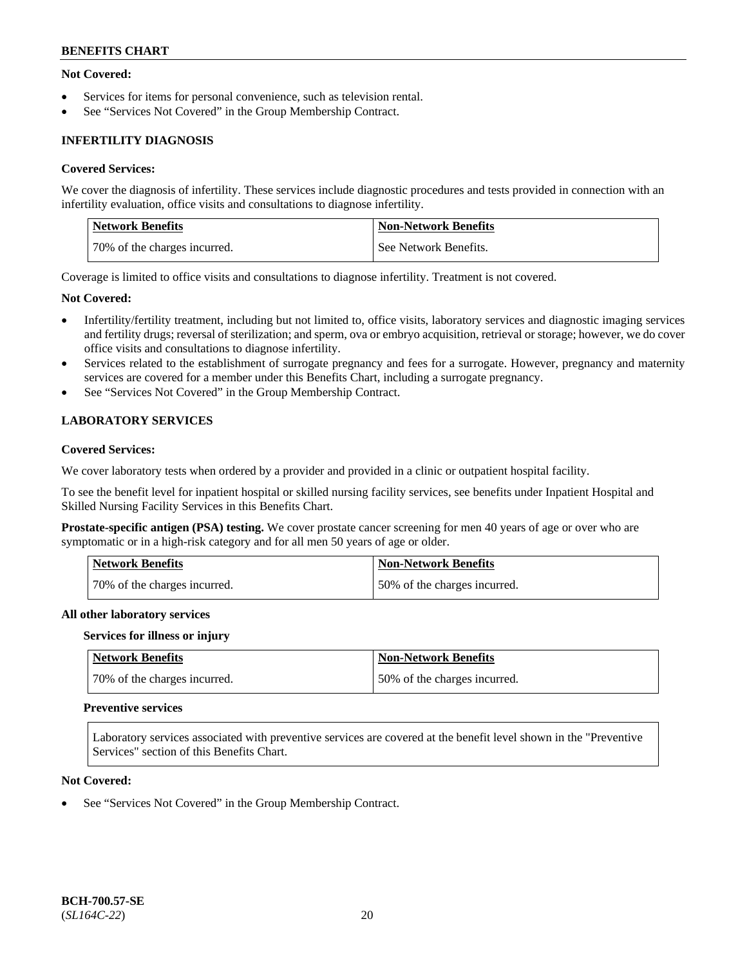# **Not Covered:**

- Services for items for personal convenience, such as television rental.
- See "Services Not Covered" in the Group Membership Contract.

# **INFERTILITY DIAGNOSIS**

### **Covered Services:**

We cover the diagnosis of infertility. These services include diagnostic procedures and tests provided in connection with an infertility evaluation, office visits and consultations to diagnose infertility.

| <b>Network Benefits</b>      | <b>Non-Network Benefits</b> |
|------------------------------|-----------------------------|
| 70% of the charges incurred. | See Network Benefits.       |

Coverage is limited to office visits and consultations to diagnose infertility. Treatment is not covered.

#### **Not Covered:**

- Infertility/fertility treatment, including but not limited to, office visits, laboratory services and diagnostic imaging services and fertility drugs; reversal of sterilization; and sperm, ova or embryo acquisition, retrieval or storage; however, we do cover office visits and consultations to diagnose infertility.
- Services related to the establishment of surrogate pregnancy and fees for a surrogate. However, pregnancy and maternity services are covered for a member under this Benefits Chart, including a surrogate pregnancy.
- See "Services Not Covered" in the Group Membership Contract.

# **LABORATORY SERVICES**

# **Covered Services:**

We cover laboratory tests when ordered by a provider and provided in a clinic or outpatient hospital facility.

To see the benefit level for inpatient hospital or skilled nursing facility services, see benefits under Inpatient Hospital and Skilled Nursing Facility Services in this Benefits Chart.

**Prostate-specific antigen (PSA) testing.** We cover prostate cancer screening for men 40 years of age or over who are symptomatic or in a high-risk category and for all men 50 years of age or older.

| <b>Network Benefits</b>      | Non-Network Benefits         |
|------------------------------|------------------------------|
| 70% of the charges incurred. | 50% of the charges incurred. |

#### **All other laboratory services**

#### **Services for illness or injury**

| Network Benefits             | Non-Network Benefits         |
|------------------------------|------------------------------|
| 70% of the charges incurred. | 50% of the charges incurred. |

#### **Preventive services**

Laboratory services associated with preventive services are covered at the benefit level shown in the "Preventive Services" section of this Benefits Chart.

#### **Not Covered:**

See "Services Not Covered" in the Group Membership Contract.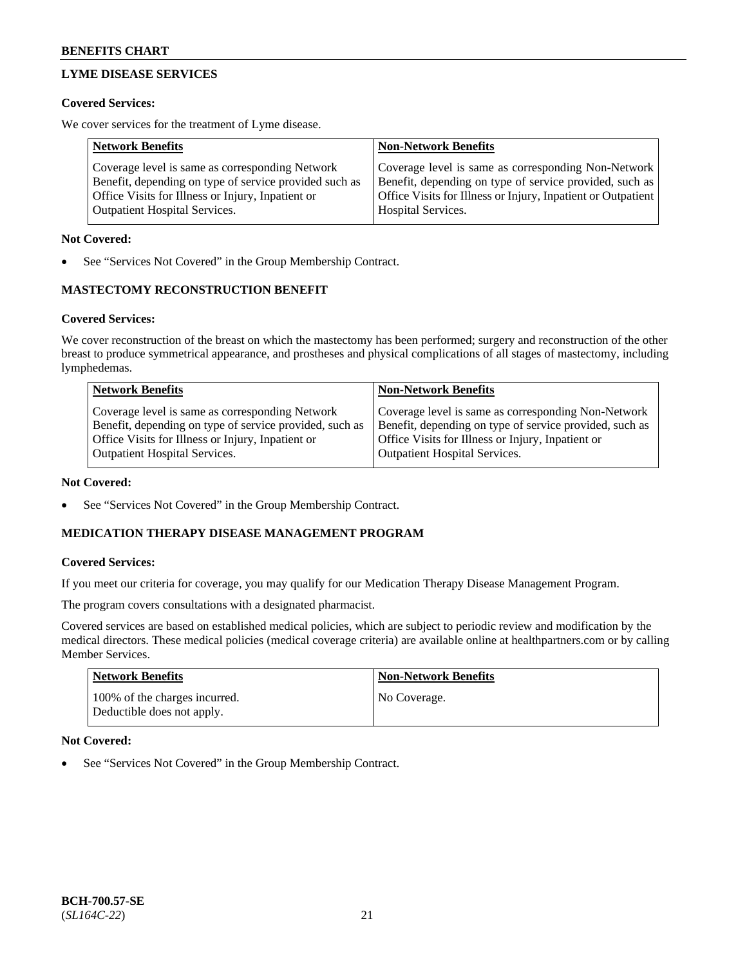# **LYME DISEASE SERVICES**

# **Covered Services:**

We cover services for the treatment of Lyme disease.

| <b>Network Benefits</b>                                | <b>Non-Network Benefits</b>                                  |
|--------------------------------------------------------|--------------------------------------------------------------|
| Coverage level is same as corresponding Network        | Coverage level is same as corresponding Non-Network          |
| Benefit, depending on type of service provided such as | Benefit, depending on type of service provided, such as      |
| Office Visits for Illness or Injury, Inpatient or      | Office Visits for Illness or Injury, Inpatient or Outpatient |
| <b>Outpatient Hospital Services.</b>                   | Hospital Services.                                           |

# **Not Covered:**

See "Services Not Covered" in the Group Membership Contract.

# **MASTECTOMY RECONSTRUCTION BENEFIT**

# **Covered Services:**

We cover reconstruction of the breast on which the mastectomy has been performed; surgery and reconstruction of the other breast to produce symmetrical appearance, and prostheses and physical complications of all stages of mastectomy, including lymphedemas.

| <b>Network Benefits</b>                                 | <b>Non-Network Benefits</b>                             |
|---------------------------------------------------------|---------------------------------------------------------|
| Coverage level is same as corresponding Network         | Coverage level is same as corresponding Non-Network     |
| Benefit, depending on type of service provided, such as | Benefit, depending on type of service provided, such as |
| Office Visits for Illness or Injury, Inpatient or       | Office Visits for Illness or Injury, Inpatient or       |
| <b>Outpatient Hospital Services.</b>                    | <b>Outpatient Hospital Services.</b>                    |

# **Not Covered:**

See "Services Not Covered" in the Group Membership Contract.

# **MEDICATION THERAPY DISEASE MANAGEMENT PROGRAM**

# **Covered Services:**

If you meet our criteria for coverage, you may qualify for our Medication Therapy Disease Management Program.

The program covers consultations with a designated pharmacist.

Covered services are based on established medical policies, which are subject to periodic review and modification by the medical directors. These medical policies (medical coverage criteria) are available online at [healthpartners.com](https://www.healthpartners.com/hp/index.html) or by calling Member Services.

| Network Benefits                                            | <b>Non-Network Benefits</b> |
|-------------------------------------------------------------|-----------------------------|
| 100% of the charges incurred.<br>Deductible does not apply. | No Coverage.                |

# **Not Covered:**

See "Services Not Covered" in the Group Membership Contract.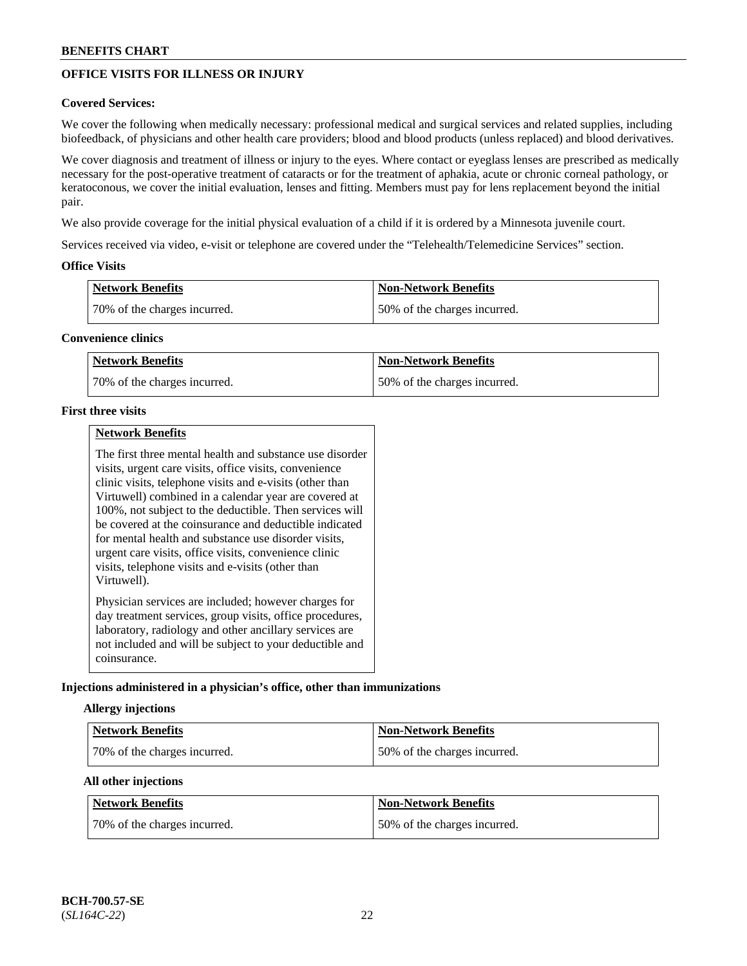# **OFFICE VISITS FOR ILLNESS OR INJURY**

# **Covered Services:**

We cover the following when medically necessary: professional medical and surgical services and related supplies, including biofeedback, of physicians and other health care providers; blood and blood products (unless replaced) and blood derivatives.

We cover diagnosis and treatment of illness or injury to the eyes. Where contact or eyeglass lenses are prescribed as medically necessary for the post-operative treatment of cataracts or for the treatment of aphakia, acute or chronic corneal pathology, or keratoconous, we cover the initial evaluation, lenses and fitting. Members must pay for lens replacement beyond the initial pair.

We also provide coverage for the initial physical evaluation of a child if it is ordered by a Minnesota juvenile court.

Services received via video, e-visit or telephone are covered under the "Telehealth/Telemedicine Services" section.

# **Office Visits**

| <b>Network Benefits</b>      | <b>Non-Network Benefits</b>  |
|------------------------------|------------------------------|
| 70% of the charges incurred. | 50% of the charges incurred. |

# **Convenience clinics**

| <b>Network Benefits</b>      | <b>Non-Network Benefits</b>   |
|------------------------------|-------------------------------|
| 70% of the charges incurred. | 150% of the charges incurred. |

# **First three visits**

|--|

The first three mental health and substance use disorder visits, urgent care visits, office visits, convenience clinic visits, telephone visits and e-visits (other than Virtuwell) combined in a calendar year are covered at 100%, not subject to the deductible. Then services will be covered at the coinsurance and deductible indicated for mental health and substance use disorder visits, urgent care visits, office visits, convenience clinic visits, telephone visits and e-visits (other than Virtuwell). Physician services are included; however charges for day treatment services, group visits, office procedures,

laboratory, radiology and other ancillary services are not included and will be subject to your deductible and coinsurance.

# **Injections administered in a physician's office, other than immunizations**

# **Allergy injections**

| <b>Network Benefits</b>      | <b>Non-Network Benefits</b>  |
|------------------------------|------------------------------|
| 70% of the charges incurred. | 50% of the charges incurred. |

# **All other injections**

| <b>Network Benefits</b>       | <b>Non-Network Benefits</b>  |
|-------------------------------|------------------------------|
| 170% of the charges incurred. | 50% of the charges incurred. |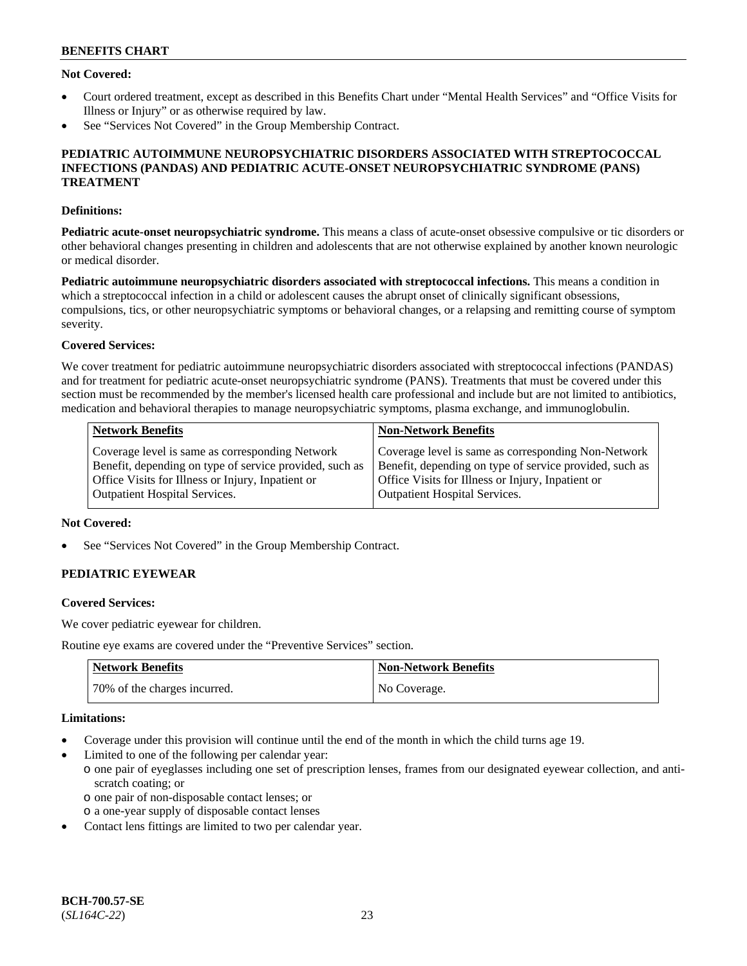# **Not Covered:**

- Court ordered treatment, except as described in this Benefits Chart under "Mental Health Services" and "Office Visits for Illness or Injury" or as otherwise required by law.
- See "Services Not Covered" in the Group Membership Contract.

### **PEDIATRIC AUTOIMMUNE NEUROPSYCHIATRIC DISORDERS ASSOCIATED WITH STREPTOCOCCAL INFECTIONS (PANDAS) AND PEDIATRIC ACUTE-ONSET NEUROPSYCHIATRIC SYNDROME (PANS) TREATMENT**

### **Definitions:**

**Pediatric acute-onset neuropsychiatric syndrome.** This means a class of acute-onset obsessive compulsive or tic disorders or other behavioral changes presenting in children and adolescents that are not otherwise explained by another known neurologic or medical disorder.

**Pediatric autoimmune neuropsychiatric disorders associated with streptococcal infections.** This means a condition in which a streptococcal infection in a child or adolescent causes the abrupt onset of clinically significant obsessions, compulsions, tics, or other neuropsychiatric symptoms or behavioral changes, or a relapsing and remitting course of symptom severity.

### **Covered Services:**

We cover treatment for pediatric autoimmune neuropsychiatric disorders associated with streptococcal infections (PANDAS) and for treatment for pediatric acute-onset neuropsychiatric syndrome (PANS). Treatments that must be covered under this section must be recommended by the member's licensed health care professional and include but are not limited to antibiotics, medication and behavioral therapies to manage neuropsychiatric symptoms, plasma exchange, and immunoglobulin.

| <b>Network Benefits</b>                                 | <b>Non-Network Benefits</b>                             |
|---------------------------------------------------------|---------------------------------------------------------|
| Coverage level is same as corresponding Network         | Coverage level is same as corresponding Non-Network     |
| Benefit, depending on type of service provided, such as | Benefit, depending on type of service provided, such as |
| Office Visits for Illness or Injury, Inpatient or       | Office Visits for Illness or Injury, Inpatient or       |
| <b>Outpatient Hospital Services.</b>                    | <b>Outpatient Hospital Services.</b>                    |

### **Not Covered:**

See "Services Not Covered" in the Group Membership Contract.

# **PEDIATRIC EYEWEAR**

#### **Covered Services:**

We cover pediatric eyewear for children.

Routine eye exams are covered under the "Preventive Services" section.

| <b>Network Benefits</b>      | Non-Network Benefits |
|------------------------------|----------------------|
| 70% of the charges incurred. | No Coverage.         |

### **Limitations:**

- Coverage under this provision will continue until the end of the month in which the child turns age 19.
- Limited to one of the following per calendar year:
	- o one pair of eyeglasses including one set of prescription lenses, frames from our designated eyewear collection, and antiscratch coating; or
		- o one pair of non-disposable contact lenses; or
	- o a one-year supply of disposable contact lenses
- Contact lens fittings are limited to two per calendar year.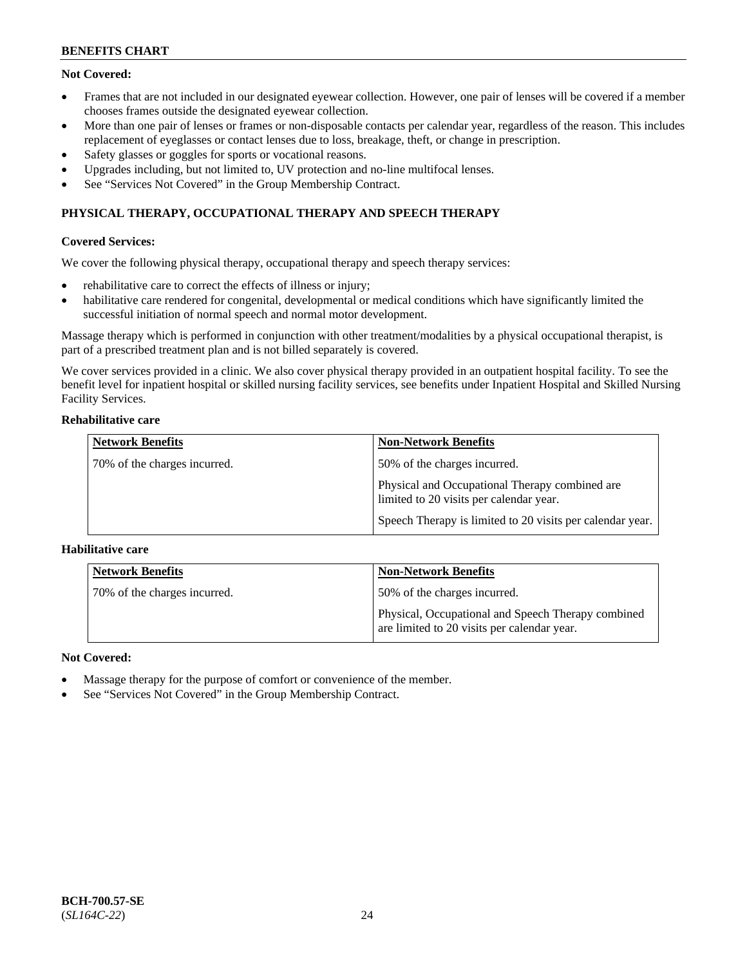# **Not Covered:**

- Frames that are not included in our designated eyewear collection. However, one pair of lenses will be covered if a member chooses frames outside the designated eyewear collection.
- More than one pair of lenses or frames or non-disposable contacts per calendar year, regardless of the reason. This includes replacement of eyeglasses or contact lenses due to loss, breakage, theft, or change in prescription.
- Safety glasses or goggles for sports or vocational reasons.
- Upgrades including, but not limited to, UV protection and no-line multifocal lenses.
- See "Services Not Covered" in the Group Membership Contract.

# **PHYSICAL THERAPY, OCCUPATIONAL THERAPY AND SPEECH THERAPY**

# **Covered Services:**

We cover the following physical therapy, occupational therapy and speech therapy services:

- rehabilitative care to correct the effects of illness or injury;
- habilitative care rendered for congenital, developmental or medical conditions which have significantly limited the successful initiation of normal speech and normal motor development.

Massage therapy which is performed in conjunction with other treatment/modalities by a physical occupational therapist, is part of a prescribed treatment plan and is not billed separately is covered.

We cover services provided in a clinic. We also cover physical therapy provided in an outpatient hospital facility. To see the benefit level for inpatient hospital or skilled nursing facility services, see benefits under Inpatient Hospital and Skilled Nursing Facility Services.

### **Rehabilitative care**

| <b>Network Benefits</b>      | <b>Non-Network Benefits</b>                                                               |
|------------------------------|-------------------------------------------------------------------------------------------|
| 70% of the charges incurred. | 50% of the charges incurred.                                                              |
|                              | Physical and Occupational Therapy combined are<br>limited to 20 visits per calendar year. |
|                              | Speech Therapy is limited to 20 visits per calendar year.                                 |

# **Habilitative care**

| <b>Network Benefits</b>      | <b>Non-Network Benefits</b>                                                                       |
|------------------------------|---------------------------------------------------------------------------------------------------|
| 70% of the charges incurred. | 50% of the charges incurred.                                                                      |
|                              | Physical, Occupational and Speech Therapy combined<br>are limited to 20 visits per calendar year. |

# **Not Covered:**

- Massage therapy for the purpose of comfort or convenience of the member.
- See "Services Not Covered" in the Group Membership Contract.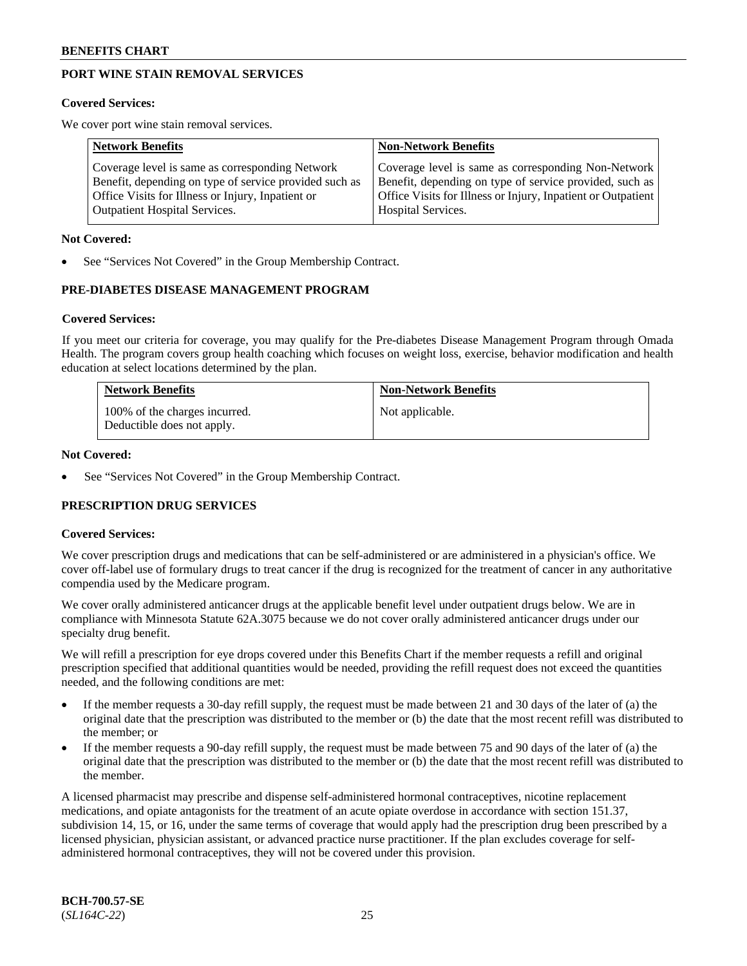# **PORT WINE STAIN REMOVAL SERVICES**

#### **Covered Services:**

We cover port wine stain removal services.

| <b>Network Benefits</b>                                | <b>Non-Network Benefits</b>                                  |
|--------------------------------------------------------|--------------------------------------------------------------|
| Coverage level is same as corresponding Network        | Coverage level is same as corresponding Non-Network          |
| Benefit, depending on type of service provided such as | Benefit, depending on type of service provided, such as      |
| Office Visits for Illness or Injury, Inpatient or      | Office Visits for Illness or Injury, Inpatient or Outpatient |
| <b>Outpatient Hospital Services.</b>                   | Hospital Services.                                           |

#### **Not Covered:**

See "Services Not Covered" in the Group Membership Contract.

# **PRE-DIABETES DISEASE MANAGEMENT PROGRAM**

#### **Covered Services:**

If you meet our criteria for coverage, you may qualify for the Pre-diabetes Disease Management Program through Omada Health. The program covers group health coaching which focuses on weight loss, exercise, behavior modification and health education at select locations determined by the plan.

| <b>Network Benefits</b>                                     | <b>Non-Network Benefits</b> |
|-------------------------------------------------------------|-----------------------------|
| 100% of the charges incurred.<br>Deductible does not apply. | Not applicable.             |

#### **Not Covered:**

See "Services Not Covered" in the Group Membership Contract.

# **PRESCRIPTION DRUG SERVICES**

# **Covered Services:**

We cover prescription drugs and medications that can be self-administered or are administered in a physician's office. We cover off-label use of formulary drugs to treat cancer if the drug is recognized for the treatment of cancer in any authoritative compendia used by the Medicare program.

We cover orally administered anticancer drugs at the applicable benefit level under outpatient drugs below. We are in compliance with Minnesota Statute 62A.3075 because we do not cover orally administered anticancer drugs under our specialty drug benefit.

We will refill a prescription for eye drops covered under this Benefits Chart if the member requests a refill and original prescription specified that additional quantities would be needed, providing the refill request does not exceed the quantities needed, and the following conditions are met:

- If the member requests a 30-day refill supply, the request must be made between 21 and 30 days of the later of (a) the original date that the prescription was distributed to the member or (b) the date that the most recent refill was distributed to the member; or
- If the member requests a 90-day refill supply, the request must be made between 75 and 90 days of the later of (a) the original date that the prescription was distributed to the member or (b) the date that the most recent refill was distributed to the member.

A licensed pharmacist may prescribe and dispense self-administered hormonal contraceptives, nicotine replacement medications, and opiate antagonists for the treatment of an acute opiate overdose in accordance with section 151.37, subdivision 14, 15, or 16, under the same terms of coverage that would apply had the prescription drug been prescribed by a licensed physician, physician assistant, or advanced practice nurse practitioner. If the plan excludes coverage for selfadministered hormonal contraceptives, they will not be covered under this provision.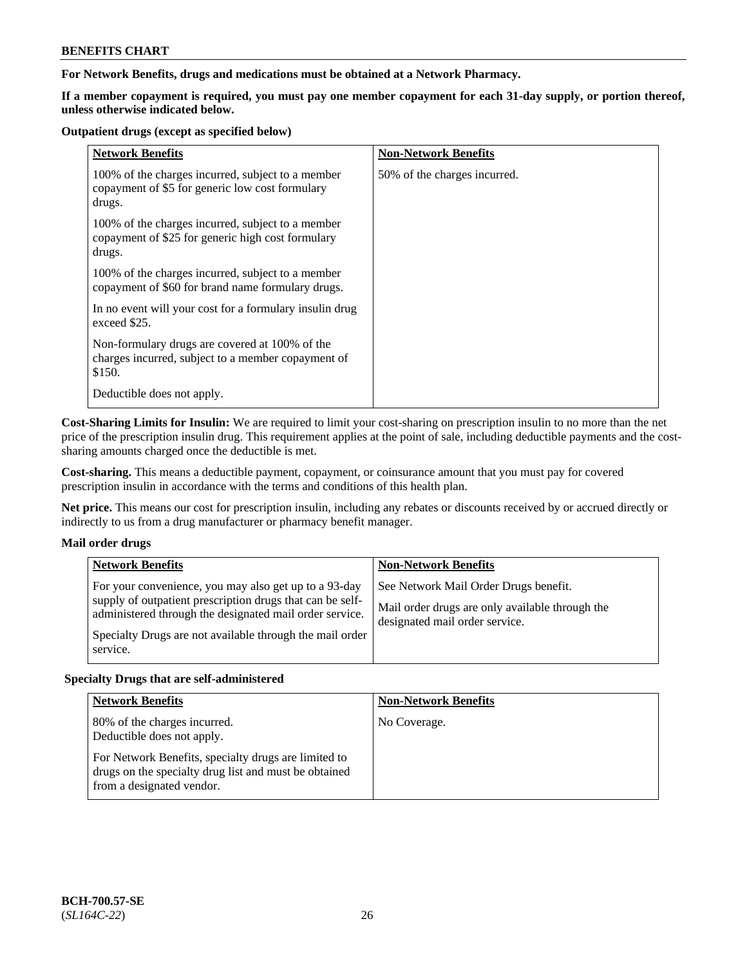# **For Network Benefits, drugs and medications must be obtained at a Network Pharmacy.**

**If a member copayment is required, you must pay one member copayment for each 31-day supply, or portion thereof, unless otherwise indicated below.**

#### **Outpatient drugs (except as specified below)**

| <b>Network Benefits</b>                                                                                          | <b>Non-Network Benefits</b>  |
|------------------------------------------------------------------------------------------------------------------|------------------------------|
| 100% of the charges incurred, subject to a member<br>copayment of \$5 for generic low cost formulary<br>drugs.   | 50% of the charges incurred. |
| 100% of the charges incurred, subject to a member<br>copayment of \$25 for generic high cost formulary<br>drugs. |                              |
| 100% of the charges incurred, subject to a member<br>copayment of \$60 for brand name formulary drugs.           |                              |
| In no event will your cost for a formulary insulin drug<br>exceed \$25.                                          |                              |
| Non-formulary drugs are covered at 100% of the<br>charges incurred, subject to a member copayment of<br>\$150.   |                              |
| Deductible does not apply.                                                                                       |                              |

**Cost-Sharing Limits for Insulin:** We are required to limit your cost-sharing on prescription insulin to no more than the net price of the prescription insulin drug. This requirement applies at the point of sale, including deductible payments and the costsharing amounts charged once the deductible is met.

**Cost-sharing.** This means a deductible payment, copayment, or coinsurance amount that you must pay for covered prescription insulin in accordance with the terms and conditions of this health plan.

**Net price.** This means our cost for prescription insulin, including any rebates or discounts received by or accrued directly or indirectly to us from a drug manufacturer or pharmacy benefit manager.

# **Mail order drugs**

| <b>Network Benefits</b>                                                                                                                                                                                                                               | <b>Non-Network Benefits</b>                                                                                                |
|-------------------------------------------------------------------------------------------------------------------------------------------------------------------------------------------------------------------------------------------------------|----------------------------------------------------------------------------------------------------------------------------|
| For your convenience, you may also get up to a 93-day<br>supply of outpatient prescription drugs that can be self-<br>administered through the designated mail order service.<br>Specialty Drugs are not available through the mail order<br>service. | See Network Mail Order Drugs benefit.<br>Mail order drugs are only available through the<br>designated mail order service. |

# **Specialty Drugs that are self-administered**

| <b>Network Benefits</b>                                                                                                                    | <b>Non-Network Benefits</b> |
|--------------------------------------------------------------------------------------------------------------------------------------------|-----------------------------|
| 80% of the charges incurred.<br>Deductible does not apply.                                                                                 | No Coverage.                |
| For Network Benefits, specialty drugs are limited to<br>drugs on the specialty drug list and must be obtained<br>from a designated vendor. |                             |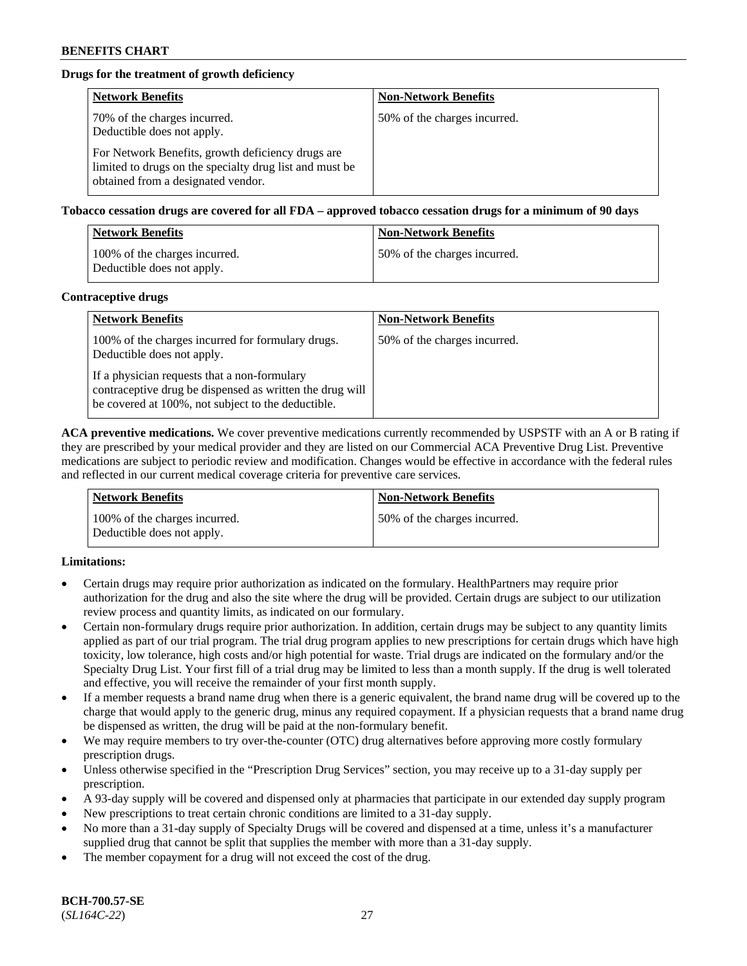# **Drugs for the treatment of growth deficiency**

| <b>Network Benefits</b>                                                                                                                            | <b>Non-Network Benefits</b>  |
|----------------------------------------------------------------------------------------------------------------------------------------------------|------------------------------|
| 70% of the charges incurred.<br>Deductible does not apply.                                                                                         | 50% of the charges incurred. |
| For Network Benefits, growth deficiency drugs are<br>limited to drugs on the specialty drug list and must be<br>obtained from a designated vendor. |                              |

#### **Tobacco cessation drugs are covered for all FDA – approved tobacco cessation drugs for a minimum of 90 days**

| <b>Network Benefits</b>                                     | <b>Non-Network Benefits</b>  |
|-------------------------------------------------------------|------------------------------|
| 100% of the charges incurred.<br>Deductible does not apply. | 50% of the charges incurred. |

### **Contraceptive drugs**

| <b>Network Benefits</b>                                                                                                                                        | <b>Non-Network Benefits</b>  |
|----------------------------------------------------------------------------------------------------------------------------------------------------------------|------------------------------|
| 100% of the charges incurred for formulary drugs.<br>Deductible does not apply.                                                                                | 50% of the charges incurred. |
| If a physician requests that a non-formulary<br>contraceptive drug be dispensed as written the drug will<br>be covered at 100%, not subject to the deductible. |                              |

**ACA preventive medications.** We cover preventive medications currently recommended by USPSTF with an A or B rating if they are prescribed by your medical provider and they are listed on our Commercial ACA Preventive Drug List. Preventive medications are subject to periodic review and modification. Changes would be effective in accordance with the federal rules and reflected in our current medical coverage criteria for preventive care services.

| <b>Network Benefits</b>                                     | <b>Non-Network Benefits</b>  |
|-------------------------------------------------------------|------------------------------|
| 100% of the charges incurred.<br>Deductible does not apply. | 50% of the charges incurred. |

# **Limitations:**

- Certain drugs may require prior authorization as indicated on the formulary. HealthPartners may require prior authorization for the drug and also the site where the drug will be provided. Certain drugs are subject to our utilization review process and quantity limits, as indicated on our formulary.
- Certain non-formulary drugs require prior authorization. In addition, certain drugs may be subject to any quantity limits applied as part of our trial program. The trial drug program applies to new prescriptions for certain drugs which have high toxicity, low tolerance, high costs and/or high potential for waste. Trial drugs are indicated on the formulary and/or the Specialty Drug List. Your first fill of a trial drug may be limited to less than a month supply. If the drug is well tolerated and effective, you will receive the remainder of your first month supply.
- If a member requests a brand name drug when there is a generic equivalent, the brand name drug will be covered up to the charge that would apply to the generic drug, minus any required copayment. If a physician requests that a brand name drug be dispensed as written, the drug will be paid at the non-formulary benefit.
- We may require members to try over-the-counter (OTC) drug alternatives before approving more costly formulary prescription drugs.
- Unless otherwise specified in the "Prescription Drug Services" section, you may receive up to a 31-day supply per prescription.
- A 93-day supply will be covered and dispensed only at pharmacies that participate in our extended day supply program
- New prescriptions to treat certain chronic conditions are limited to a 31-day supply.
- No more than a 31-day supply of Specialty Drugs will be covered and dispensed at a time, unless it's a manufacturer supplied drug that cannot be split that supplies the member with more than a 31-day supply.
- The member copayment for a drug will not exceed the cost of the drug.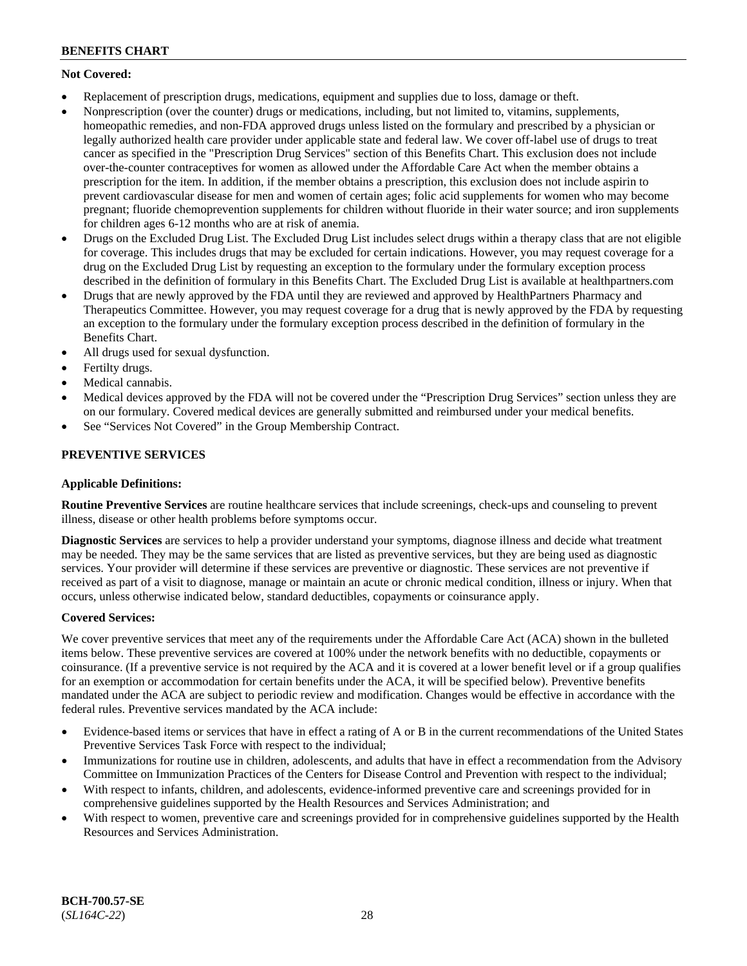# **Not Covered:**

- Replacement of prescription drugs, medications, equipment and supplies due to loss, damage or theft.
- Nonprescription (over the counter) drugs or medications, including, but not limited to, vitamins, supplements, homeopathic remedies, and non-FDA approved drugs unless listed on the formulary and prescribed by a physician or legally authorized health care provider under applicable state and federal law. We cover off-label use of drugs to treat cancer as specified in the "Prescription Drug Services" section of this Benefits Chart. This exclusion does not include over-the-counter contraceptives for women as allowed under the Affordable Care Act when the member obtains a prescription for the item. In addition, if the member obtains a prescription, this exclusion does not include aspirin to prevent cardiovascular disease for men and women of certain ages; folic acid supplements for women who may become pregnant; fluoride chemoprevention supplements for children without fluoride in their water source; and iron supplements for children ages 6-12 months who are at risk of anemia.
- Drugs on the Excluded Drug List. The Excluded Drug List includes select drugs within a therapy class that are not eligible for coverage. This includes drugs that may be excluded for certain indications. However, you may request coverage for a drug on the Excluded Drug List by requesting an exception to the formulary under the formulary exception process described in the definition of formulary in this Benefits Chart. The Excluded Drug List is available at [healthpartners.com](http://www.healthpartners.com/)
- Drugs that are newly approved by the FDA until they are reviewed and approved by HealthPartners Pharmacy and Therapeutics Committee. However, you may request coverage for a drug that is newly approved by the FDA by requesting an exception to the formulary under the formulary exception process described in the definition of formulary in the Benefits Chart.
- All drugs used for sexual dysfunction.
- Fertilty drugs.
- Medical cannabis.
- Medical devices approved by the FDA will not be covered under the "Prescription Drug Services" section unless they are on our formulary. Covered medical devices are generally submitted and reimbursed under your medical benefits.
- See "Services Not Covered" in the Group Membership Contract.

# **PREVENTIVE SERVICES**

# **Applicable Definitions:**

**Routine Preventive Services** are routine healthcare services that include screenings, check-ups and counseling to prevent illness, disease or other health problems before symptoms occur.

**Diagnostic Services** are services to help a provider understand your symptoms, diagnose illness and decide what treatment may be needed. They may be the same services that are listed as preventive services, but they are being used as diagnostic services. Your provider will determine if these services are preventive or diagnostic. These services are not preventive if received as part of a visit to diagnose, manage or maintain an acute or chronic medical condition, illness or injury. When that occurs, unless otherwise indicated below, standard deductibles, copayments or coinsurance apply.

# **Covered Services:**

We cover preventive services that meet any of the requirements under the Affordable Care Act (ACA) shown in the bulleted items below. These preventive services are covered at 100% under the network benefits with no deductible, copayments or coinsurance. (If a preventive service is not required by the ACA and it is covered at a lower benefit level or if a group qualifies for an exemption or accommodation for certain benefits under the ACA, it will be specified below). Preventive benefits mandated under the ACA are subject to periodic review and modification. Changes would be effective in accordance with the federal rules. Preventive services mandated by the ACA include:

- Evidence-based items or services that have in effect a rating of A or B in the current recommendations of the United States Preventive Services Task Force with respect to the individual;
- Immunizations for routine use in children, adolescents, and adults that have in effect a recommendation from the Advisory Committee on Immunization Practices of the Centers for Disease Control and Prevention with respect to the individual;
- With respect to infants, children, and adolescents, evidence-informed preventive care and screenings provided for in comprehensive guidelines supported by the Health Resources and Services Administration; and
- With respect to women, preventive care and screenings provided for in comprehensive guidelines supported by the Health Resources and Services Administration.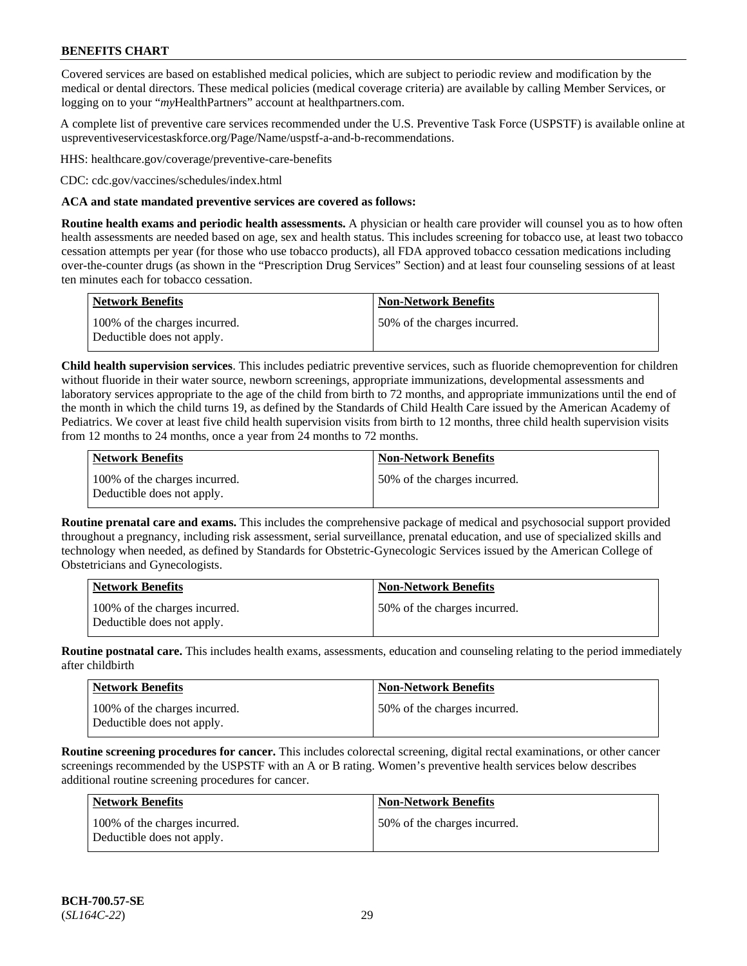Covered services are based on established medical policies, which are subject to periodic review and modification by the medical or dental directors. These medical policies (medical coverage criteria) are available by calling Member Services, or logging on to your "*my*HealthPartners" account at [healthpartners.com.](http://www.healthpartners.com/)

A complete list of preventive care services recommended under the U.S. Preventive Task Force (USPSTF) is available online at [uspreventiveservicestaskforce.org/Page/Name/uspstf-a-and-b-recommendations.](https://www.uspreventiveservicestaskforce.org/Page/Name/uspstf-a-and-b-recommendations-by-date/)

HHS: [healthcare.gov/coverage/preventive-care-benefits](https://www.healthcare.gov/coverage/preventive-care-benefits/)

CDC: [cdc.gov/vaccines/schedules/index.html](https://www.cdc.gov/vaccines/schedules/index.html)

### **ACA and state mandated preventive services are covered as follows:**

**Routine health exams and periodic health assessments.** A physician or health care provider will counsel you as to how often health assessments are needed based on age, sex and health status. This includes screening for tobacco use, at least two tobacco cessation attempts per year (for those who use tobacco products), all FDA approved tobacco cessation medications including over-the-counter drugs (as shown in the "Prescription Drug Services" Section) and at least four counseling sessions of at least ten minutes each for tobacco cessation.

| Network Benefits                                            | <b>Non-Network Benefits</b>  |
|-------------------------------------------------------------|------------------------------|
| 100% of the charges incurred.<br>Deductible does not apply. | 50% of the charges incurred. |

**Child health supervision services**. This includes pediatric preventive services, such as fluoride chemoprevention for children without fluoride in their water source, newborn screenings, appropriate immunizations, developmental assessments and laboratory services appropriate to the age of the child from birth to 72 months, and appropriate immunizations until the end of the month in which the child turns 19, as defined by the Standards of Child Health Care issued by the American Academy of Pediatrics. We cover at least five child health supervision visits from birth to 12 months, three child health supervision visits from 12 months to 24 months, once a year from 24 months to 72 months.

| Network Benefits                                            | <b>Non-Network Benefits</b>  |
|-------------------------------------------------------------|------------------------------|
| 100% of the charges incurred.<br>Deductible does not apply. | 50% of the charges incurred. |

**Routine prenatal care and exams.** This includes the comprehensive package of medical and psychosocial support provided throughout a pregnancy, including risk assessment, serial surveillance, prenatal education, and use of specialized skills and technology when needed, as defined by Standards for Obstetric-Gynecologic Services issued by the American College of Obstetricians and Gynecologists.

| <b>Network Benefits</b>                                     | Non-Network Benefits         |
|-------------------------------------------------------------|------------------------------|
| 100% of the charges incurred.<br>Deductible does not apply. | 50% of the charges incurred. |

**Routine postnatal care.** This includes health exams, assessments, education and counseling relating to the period immediately after childbirth

| <b>Network Benefits</b>                                     | <b>Non-Network Benefits</b>  |
|-------------------------------------------------------------|------------------------------|
| 100% of the charges incurred.<br>Deductible does not apply. | 50% of the charges incurred. |

**Routine screening procedures for cancer.** This includes colorectal screening, digital rectal examinations, or other cancer screenings recommended by the USPSTF with an A or B rating. Women's preventive health services below describes additional routine screening procedures for cancer.

| <b>Network Benefits</b>                                     | <b>Non-Network Benefits</b>  |
|-------------------------------------------------------------|------------------------------|
| 100% of the charges incurred.<br>Deductible does not apply. | 50% of the charges incurred. |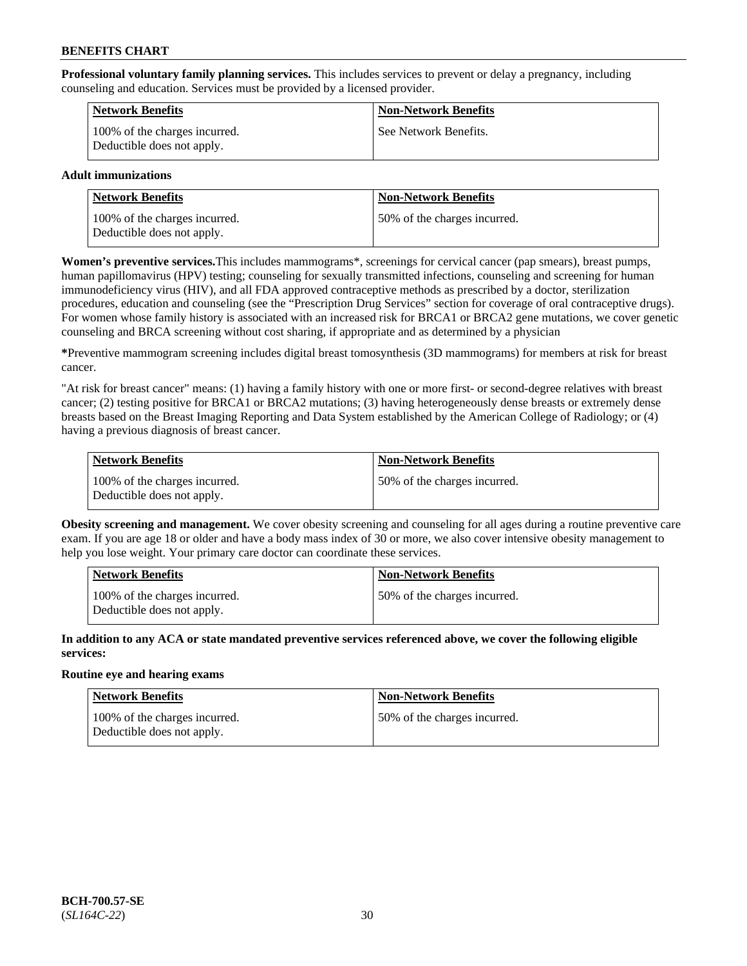**Professional voluntary family planning services.** This includes services to prevent or delay a pregnancy, including counseling and education. Services must be provided by a licensed provider.

| <b>Network Benefits</b>                                     | <b>Non-Network Benefits</b> |
|-------------------------------------------------------------|-----------------------------|
| 100% of the charges incurred.<br>Deductible does not apply. | See Network Benefits.       |

# **Adult immunizations**

| <b>Network Benefits</b>                                     | <b>Non-Network Benefits</b>  |
|-------------------------------------------------------------|------------------------------|
| 100% of the charges incurred.<br>Deductible does not apply. | 50% of the charges incurred. |

**Women's preventive services.**This includes mammograms\*, screenings for cervical cancer (pap smears), breast pumps, human papillomavirus (HPV) testing; counseling for sexually transmitted infections, counseling and screening for human immunodeficiency virus (HIV), and all FDA approved contraceptive methods as prescribed by a doctor, sterilization procedures, education and counseling (see the "Prescription Drug Services" section for coverage of oral contraceptive drugs). For women whose family history is associated with an increased risk for BRCA1 or BRCA2 gene mutations, we cover genetic counseling and BRCA screening without cost sharing, if appropriate and as determined by a physician

**\***Preventive mammogram screening includes digital breast tomosynthesis (3D mammograms) for members at risk for breast cancer.

"At risk for breast cancer" means: (1) having a family history with one or more first- or second-degree relatives with breast cancer; (2) testing positive for BRCA1 or BRCA2 mutations; (3) having heterogeneously dense breasts or extremely dense breasts based on the Breast Imaging Reporting and Data System established by the American College of Radiology; or (4) having a previous diagnosis of breast cancer.

| Network Benefits                                            | <b>Non-Network Benefits</b>  |
|-------------------------------------------------------------|------------------------------|
| 100% of the charges incurred.<br>Deductible does not apply. | 50% of the charges incurred. |

**Obesity screening and management.** We cover obesity screening and counseling for all ages during a routine preventive care exam. If you are age 18 or older and have a body mass index of 30 or more, we also cover intensive obesity management to help you lose weight. Your primary care doctor can coordinate these services.

| <b>Network Benefits</b>                                     | <b>Non-Network Benefits</b>   |
|-------------------------------------------------------------|-------------------------------|
| 100% of the charges incurred.<br>Deductible does not apply. | 150% of the charges incurred. |

**In addition to any ACA or state mandated preventive services referenced above, we cover the following eligible services:**

#### **Routine eye and hearing exams**

| Network Benefits                                            | <b>Non-Network Benefits</b>  |
|-------------------------------------------------------------|------------------------------|
| 100% of the charges incurred.<br>Deductible does not apply. | 50% of the charges incurred. |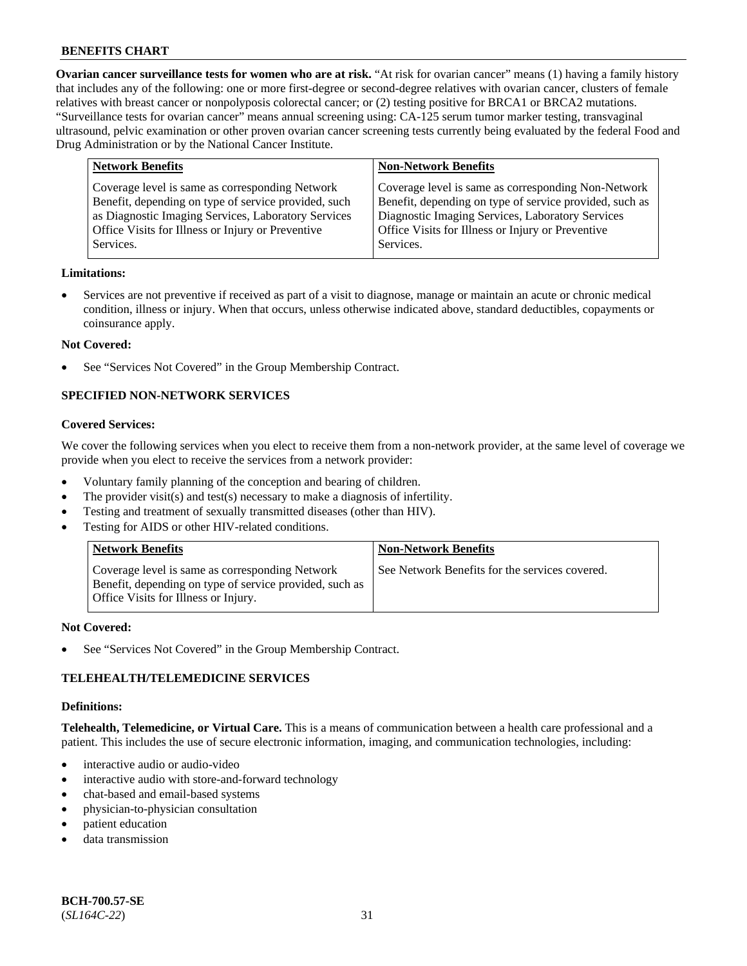**Ovarian cancer surveillance tests for women who are at risk.** "At risk for ovarian cancer" means (1) having a family history that includes any of the following: one or more first-degree or second-degree relatives with ovarian cancer, clusters of female relatives with breast cancer or nonpolyposis colorectal cancer; or (2) testing positive for BRCA1 or BRCA2 mutations. "Surveillance tests for ovarian cancer" means annual screening using: CA-125 serum tumor marker testing, transvaginal ultrasound, pelvic examination or other proven ovarian cancer screening tests currently being evaluated by the federal Food and Drug Administration or by the National Cancer Institute.

| <b>Network Benefits</b>                                                                                                                                                                                                          | <b>Non-Network Benefits</b>                                                                                                                                                                                                          |
|----------------------------------------------------------------------------------------------------------------------------------------------------------------------------------------------------------------------------------|--------------------------------------------------------------------------------------------------------------------------------------------------------------------------------------------------------------------------------------|
| Coverage level is same as corresponding Network<br>Benefit, depending on type of service provided, such<br>as Diagnostic Imaging Services, Laboratory Services<br>Office Visits for Illness or Injury or Preventive<br>Services. | Coverage level is same as corresponding Non-Network<br>Benefit, depending on type of service provided, such as<br>Diagnostic Imaging Services, Laboratory Services<br>Office Visits for Illness or Injury or Preventive<br>Services. |
|                                                                                                                                                                                                                                  |                                                                                                                                                                                                                                      |

#### **Limitations:**

• Services are not preventive if received as part of a visit to diagnose, manage or maintain an acute or chronic medical condition, illness or injury. When that occurs, unless otherwise indicated above, standard deductibles, copayments or coinsurance apply.

#### **Not Covered:**

See "Services Not Covered" in the Group Membership Contract.

# **SPECIFIED NON-NETWORK SERVICES**

# **Covered Services:**

We cover the following services when you elect to receive them from a non-network provider, at the same level of coverage we provide when you elect to receive the services from a network provider:

- Voluntary family planning of the conception and bearing of children.
- The provider visit(s) and test(s) necessary to make a diagnosis of infertility.
- Testing and treatment of sexually transmitted diseases (other than HIV).
- Testing for AIDS or other HIV-related conditions.

| <b>Network Benefits</b>                                                                                                                            | <b>Non-Network Benefits</b>                    |
|----------------------------------------------------------------------------------------------------------------------------------------------------|------------------------------------------------|
| Coverage level is same as corresponding Network<br>Benefit, depending on type of service provided, such as<br>Office Visits for Illness or Injury. | See Network Benefits for the services covered. |

#### **Not Covered:**

See "Services Not Covered" in the Group Membership Contract.

# **TELEHEALTH/TELEMEDICINE SERVICES**

#### **Definitions:**

**Telehealth, Telemedicine, or Virtual Care.** This is a means of communication between a health care professional and a patient. This includes the use of secure electronic information, imaging, and communication technologies, including:

- interactive audio or audio-video
- interactive audio with store-and-forward technology
- chat-based and email-based systems
- physician-to-physician consultation
- patient education
- data transmission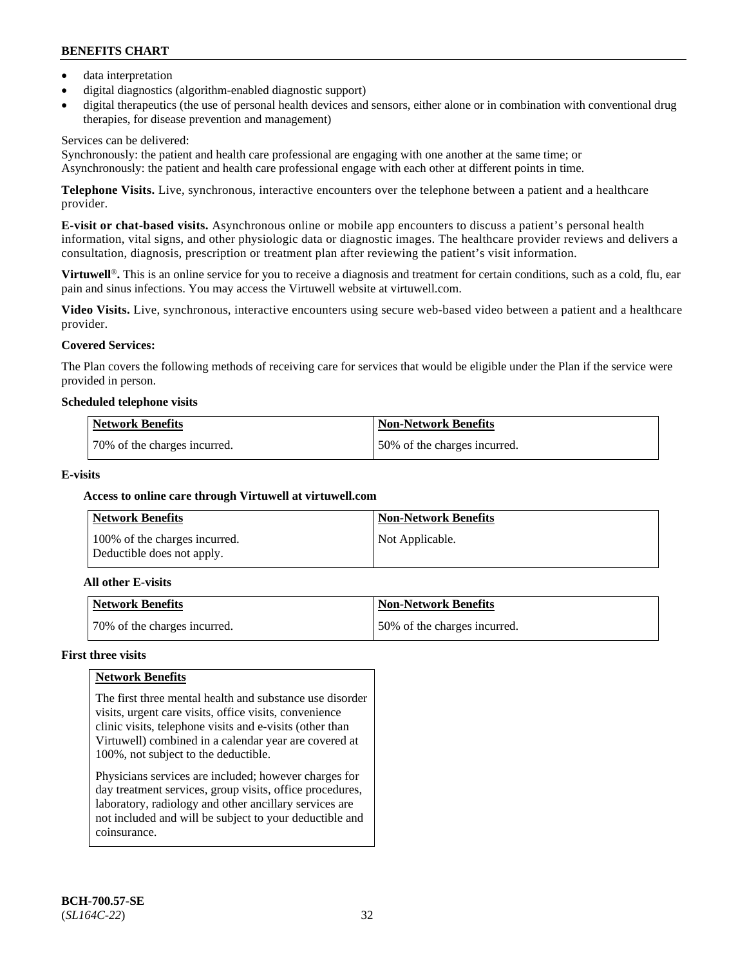- data interpretation
- digital diagnostics (algorithm-enabled diagnostic support)
- digital therapeutics (the use of personal health devices and sensors, either alone or in combination with conventional drug therapies, for disease prevention and management)

# Services can be delivered:

Synchronously: the patient and health care professional are engaging with one another at the same time; or Asynchronously: the patient and health care professional engage with each other at different points in time.

**Telephone Visits.** Live, synchronous, interactive encounters over the telephone between a patient and a healthcare provider.

**E-visit or chat-based visits.** Asynchronous online or mobile app encounters to discuss a patient's personal health information, vital signs, and other physiologic data or diagnostic images. The healthcare provider reviews and delivers a consultation, diagnosis, prescription or treatment plan after reviewing the patient's visit information.

**Virtuwell<sup>®</sup>**. This is an online service for you to receive a diagnosis and treatment for certain conditions, such as a cold, flu, ear pain and sinus infections. You may access the Virtuwell website at [virtuwell.com.](https://www.virtuwell.com/)

**Video Visits.** Live, synchronous, interactive encounters using secure web-based video between a patient and a healthcare provider.

# **Covered Services:**

The Plan covers the following methods of receiving care for services that would be eligible under the Plan if the service were provided in person.

#### **Scheduled telephone visits**

| <b>Network Benefits</b>      | Non-Network Benefits         |
|------------------------------|------------------------------|
| 70% of the charges incurred. | 50% of the charges incurred. |

# **E-visits**

# **Access to online care through Virtuwell at [virtuwell.com](https://www.virtuwell.com/)**

| <b>Network Benefits</b>                                     | <b>Non-Network Benefits</b> |
|-------------------------------------------------------------|-----------------------------|
| 100% of the charges incurred.<br>Deductible does not apply. | Not Applicable.             |

# **All other E-visits**

| Network Benefits             | <b>Non-Network Benefits</b>  |
|------------------------------|------------------------------|
| 70% of the charges incurred. | 50% of the charges incurred. |

# **First three visits**

# **Network Benefits**

The first three mental health and substance use disorder visits, urgent care visits, office visits, convenience clinic visits, telephone visits and e-visits (other than Virtuwell) combined in a calendar year are covered at 100%, not subject to the deductible.

Physicians services are included; however charges for day treatment services, group visits, office procedures, laboratory, radiology and other ancillary services are not included and will be subject to your deductible and coinsurance.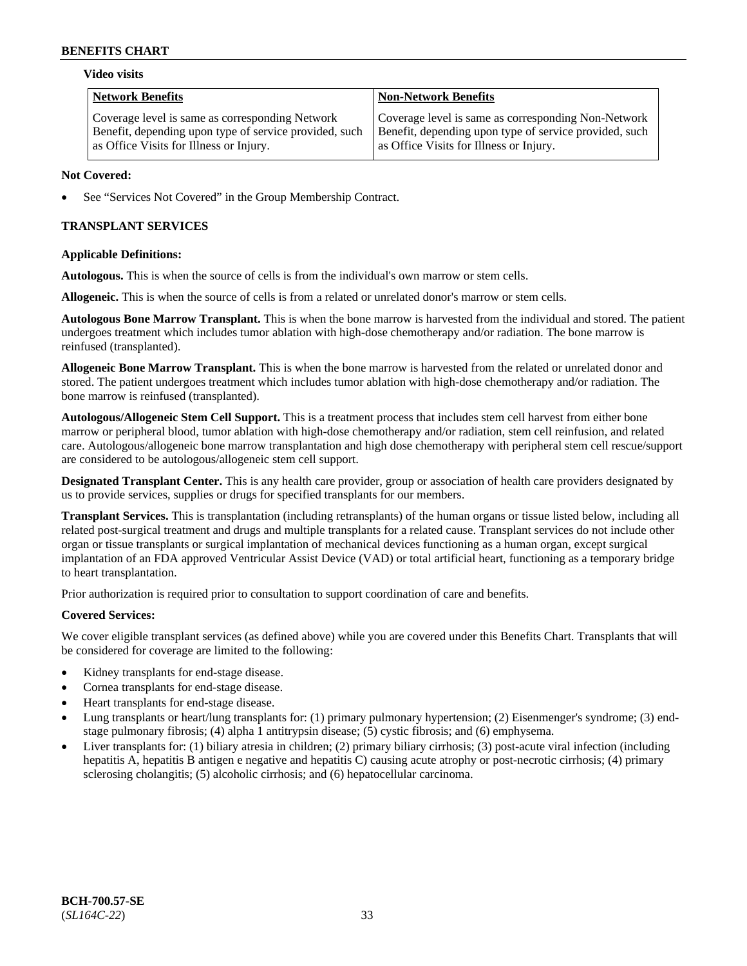#### **Video visits**

| <b>Network Benefits</b>                                | <b>Non-Network Benefits</b>                            |
|--------------------------------------------------------|--------------------------------------------------------|
| Coverage level is same as corresponding Network        | Coverage level is same as corresponding Non-Network    |
| Benefit, depending upon type of service provided, such | Benefit, depending upon type of service provided, such |
| as Office Visits for Illness or Injury.                | as Office Visits for Illness or Injury.                |

### **Not Covered:**

See "Services Not Covered" in the Group Membership Contract.

# **TRANSPLANT SERVICES**

# **Applicable Definitions:**

**Autologous.** This is when the source of cells is from the individual's own marrow or stem cells.

**Allogeneic.** This is when the source of cells is from a related or unrelated donor's marrow or stem cells.

**Autologous Bone Marrow Transplant.** This is when the bone marrow is harvested from the individual and stored. The patient undergoes treatment which includes tumor ablation with high-dose chemotherapy and/or radiation. The bone marrow is reinfused (transplanted).

**Allogeneic Bone Marrow Transplant.** This is when the bone marrow is harvested from the related or unrelated donor and stored. The patient undergoes treatment which includes tumor ablation with high-dose chemotherapy and/or radiation. The bone marrow is reinfused (transplanted).

**Autologous/Allogeneic Stem Cell Support.** This is a treatment process that includes stem cell harvest from either bone marrow or peripheral blood, tumor ablation with high-dose chemotherapy and/or radiation, stem cell reinfusion, and related care. Autologous/allogeneic bone marrow transplantation and high dose chemotherapy with peripheral stem cell rescue/support are considered to be autologous/allogeneic stem cell support.

**Designated Transplant Center.** This is any health care provider, group or association of health care providers designated by us to provide services, supplies or drugs for specified transplants for our members.

**Transplant Services.** This is transplantation (including retransplants) of the human organs or tissue listed below, including all related post-surgical treatment and drugs and multiple transplants for a related cause. Transplant services do not include other organ or tissue transplants or surgical implantation of mechanical devices functioning as a human organ, except surgical implantation of an FDA approved Ventricular Assist Device (VAD) or total artificial heart, functioning as a temporary bridge to heart transplantation.

Prior authorization is required prior to consultation to support coordination of care and benefits.

# **Covered Services:**

We cover eligible transplant services (as defined above) while you are covered under this Benefits Chart. Transplants that will be considered for coverage are limited to the following:

- Kidney transplants for end-stage disease.
- Cornea transplants for end-stage disease.
- Heart transplants for end-stage disease.
- Lung transplants or heart/lung transplants for: (1) primary pulmonary hypertension; (2) Eisenmenger's syndrome; (3) endstage pulmonary fibrosis; (4) alpha 1 antitrypsin disease; (5) cystic fibrosis; and (6) emphysema.
- Liver transplants for: (1) biliary atresia in children; (2) primary biliary cirrhosis; (3) post-acute viral infection (including hepatitis A, hepatitis B antigen e negative and hepatitis C) causing acute atrophy or post-necrotic cirrhosis; (4) primary sclerosing cholangitis; (5) alcoholic cirrhosis; and (6) hepatocellular carcinoma.